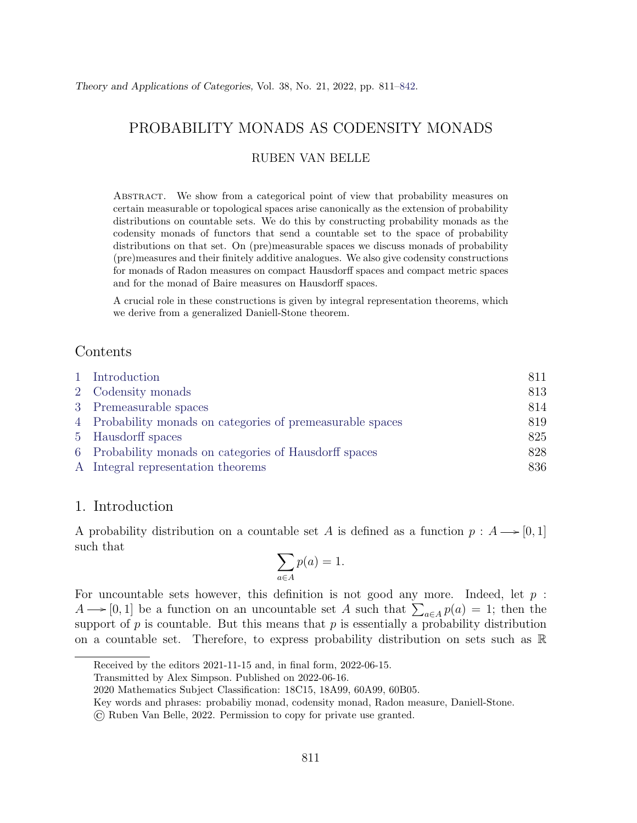# PROBABILITY MONADS AS CODENSITY MONADS

## RUBEN VAN BELLE

Abstract. We show from a categorical point of view that probability measures on certain measurable or topological spaces arise canonically as the extension of probability distributions on countable sets. We do this by constructing probability monads as the codensity monads of functors that send a countable set to the space of probability distributions on that set. On (pre)measurable spaces we discuss monads of probability (pre)measures and their finitely additive analogues. We also give codensity constructions for monads of Radon measures on compact Hausdorff spaces and compact metric spaces and for the monad of Baire measures on Hausdorff spaces.

A crucial role in these constructions is given by integral representation theorems, which we derive from a generalized Daniell-Stone theorem.

# Contents

| 1 Introduction                                             | 811 |
|------------------------------------------------------------|-----|
| 2 Codensity monads                                         | 813 |
| 3 Premeasurable spaces                                     | 814 |
| 4 Probability monads on categories of premeasurable spaces | 819 |
| 5 Hausdorff spaces                                         | 825 |
| 6 Probability monads on categories of Hausdorff spaces     | 828 |
| A Integral representation theorems                         | 836 |

## <span id="page-0-0"></span>1. Introduction

A probability distribution on a countable set A is defined as a function  $p : A \longrightarrow [0, 1]$ such that

$$
\sum_{a \in A} p(a) = 1.
$$

For uncountable sets however, this definition is not good any more. Indeed, let  $p$ :  $A \longrightarrow [0, 1]$  be a function on an uncountable set A such that  $\sum_{a \in A} p(a) = 1$ ; then the support of  $p$  is countable. But this means that  $p$  is essentially a probability distribution on a countable set. Therefore, to express probability distribution on sets such as  $\mathbb R$ 

Received by the editors 2021-11-15 and, in final form, 2022-06-15.

Transmitted by Alex Simpson. Published on 2022-06-16.

<sup>2020</sup> Mathematics Subject Classification: 18C15, 18A99, 60A99, 60B05.

Key words and phrases: probabiliy monad, codensity monad, Radon measure, Daniell-Stone.

<sup>©</sup> Ruben Van Belle, 2022. Permission to copy for private use granted.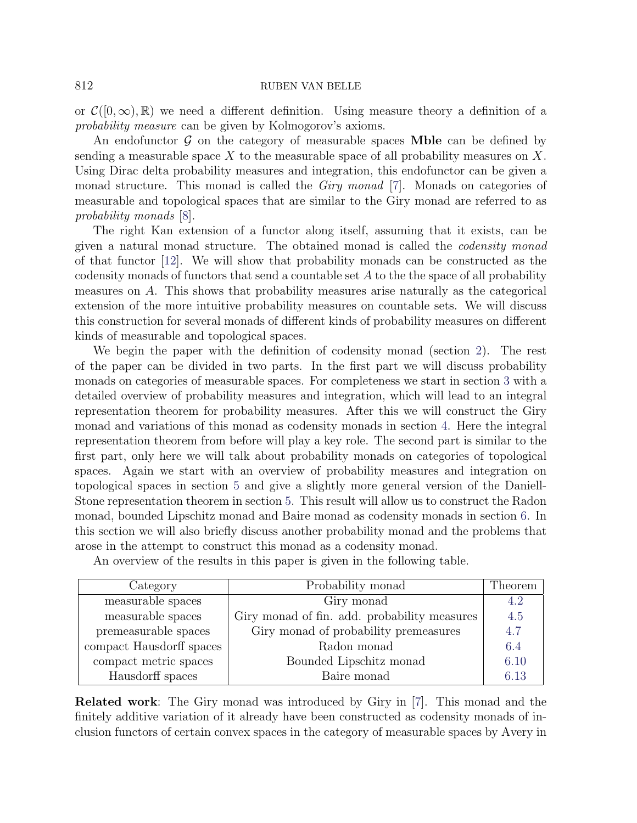or  $\mathcal{C}([0,\infty),\mathbb{R})$  we need a different definition. Using measure theory a definition of a probability measure can be given by Kolmogorov's axioms.

An endofunctor  $\mathcal G$  on the category of measurable spaces **Mble** can be defined by sending a measurable space  $X$  to the measurable space of all probability measures on  $X$ . Using Dirac delta probability measures and integration, this endofunctor can be given a monad structure. This monad is called the *Giry monad* [\[7\]](#page-30-1). Monads on categories of measurable and topological spaces that are similar to the Giry monad are referred to as probability monads [\[8\]](#page-30-2).

The right Kan extension of a functor along itself, assuming that it exists, can be given a natural monad structure. The obtained monad is called the codensity monad of that functor [\[12\]](#page-31-0). We will show that probability monads can be constructed as the codensity monads of functors that send a countable set  $A$  to the the space of all probability measures on A. This shows that probability measures arise naturally as the categorical extension of the more intuitive probability measures on countable sets. We will discuss this construction for several monads of different kinds of probability measures on different kinds of measurable and topological spaces.

We begin the paper with the definition of codensity monad (section [2\)](#page-2-0). The rest of the paper can be divided in two parts. In the first part we will discuss probability monads on categories of measurable spaces. For completeness we start in section [3](#page-3-0) with a detailed overview of probability measures and integration, which will lead to an integral representation theorem for probability measures. After this we will construct the Giry monad and variations of this monad as codensity monads in section [4.](#page-8-0) Here the integral representation theorem from before will play a key role. The second part is similar to the first part, only here we will talk about probability monads on categories of topological spaces. Again we start with an overview of probability measures and integration on topological spaces in section [5](#page-14-0) and give a slightly more general version of the Daniell-Stone representation theorem in section [5.](#page-14-0) This result will allow us to construct the Radon monad, bounded Lipschitz monad and Baire monad as codensity monads in section [6.](#page-17-0) In this section we will also briefly discuss another probability monad and the problems that arose in the attempt to construct this monad as a codensity monad.

| Category                 | Probability monad                            | Theorem |
|--------------------------|----------------------------------------------|---------|
| measurable spaces        | Giry monad                                   | 4.2     |
| measurable spaces        | Giry monad of fin. add. probability measures | 4.5     |
| premeasurable spaces     | Giry monad of probability premeasures        | 4.7     |
| compact Hausdorff spaces | Radon monad                                  | 6.4     |
| compact metric spaces    | Bounded Lipschitz monad                      | 6.10    |
| Hausdorff spaces         | Baire monad                                  | 6.13    |

An overview of the results in this paper is given in the following table.

Related work: The Giry monad was introduced by Giry in [\[7\]](#page-30-1). This monad and the finitely additive variation of it already have been constructed as codensity monads of inclusion functors of certain convex spaces in the category of measurable spaces by Avery in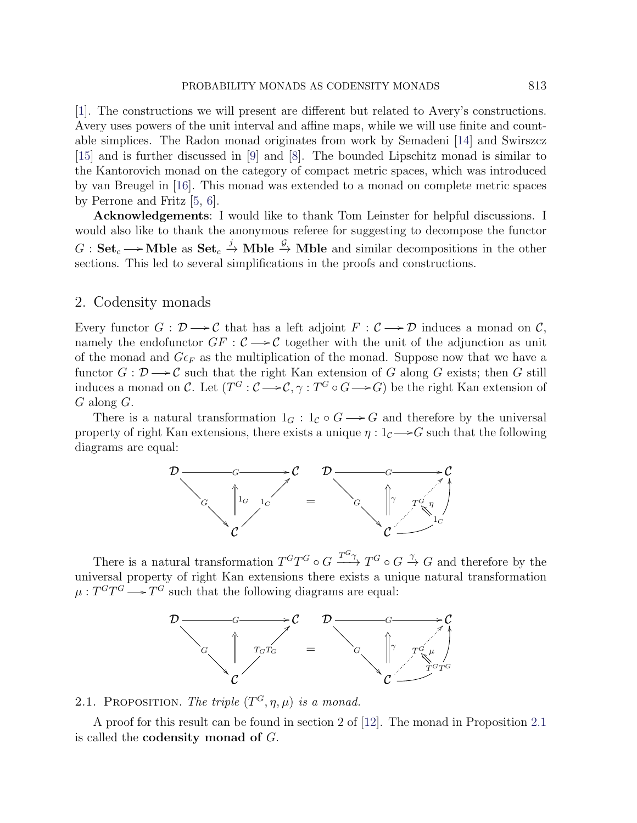[\[1\]](#page-30-3). The constructions we will present are different but related to Avery's constructions. Avery uses powers of the unit interval and affine maps, while we will use finite and countable simplices. The Radon monad originates from work by Semadeni [\[14\]](#page-31-1) and Swirszcz [\[15\]](#page-31-2) and is further discussed in [\[9\]](#page-30-4) and [\[8\]](#page-30-2). The bounded Lipschitz monad is similar to the Kantorovich monad on the category of compact metric spaces, which was introduced by van Breugel in [\[16\]](#page-31-3). This monad was extended to a monad on complete metric spaces by Perrone and Fritz [\[5,](#page-30-5) [6\]](#page-30-6).

Acknowledgements: I would like to thank Tom Leinster for helpful discussions. I would also like to thank the anonymous referee for suggesting to decompose the functor  $G: \mathbf{Set}_c \longrightarrow \mathbf{Mble}$  as  $\mathbf{Set}_c \stackrel{j}{\rightarrow} \mathbf{Mble} \stackrel{\mathcal{G}}{\rightarrow} \mathbf{Mble}$  and similar decompositions in the other sections. This led to several simplifications in the proofs and constructions.

## <span id="page-2-0"></span>2. Codensity monads

Every functor  $G : \mathcal{D} \longrightarrow \mathcal{C}$  that has a left adjoint  $F : \mathcal{C} \longrightarrow \mathcal{D}$  induces a monad on  $\mathcal{C}$ , namely the endofunctor  $GF: \mathcal{C} \longrightarrow \mathcal{C}$  together with the unit of the adjunction as unit of the monad and  $G\epsilon_F$  as the multiplication of the monad. Suppose now that we have a functor  $G: \mathcal{D} \longrightarrow \mathcal{C}$  such that the right Kan extension of G along G exists; then G still induces a monad on C. Let  $(T^G : \mathcal{C} \longrightarrow \mathcal{C}, \gamma : T^G \circ G \longrightarrow G)$  be the right Kan extension of G along G.

There is a natural transformation  $1_G : 1_{\mathcal{C}} \circ G \longrightarrow G$  and therefore by the universal property of right Kan extensions, there exists a unique  $\eta: 1_{\mathcal{C}} \longrightarrow G$  such that the following diagrams are equal:



There is a natural transformation  $T^{G}T^{G} \circ G \xrightarrow{T^{G}} T^{G} \circ G \xrightarrow{\gamma} G$  and therefore by the universal property of right Kan extensions there exists a unique natural transformation  $\mu: T^G T^G \longrightarrow T^G$  such that the following diagrams are equal:



# <span id="page-2-1"></span>2.1. PROPOSITION. The triple  $(T^G, \eta, \mu)$  is a monad.

A proof for this result can be found in section 2 of [\[12\]](#page-31-0). The monad in Proposition [2.1](#page-2-1) is called the **codensity** monad of  $G$ .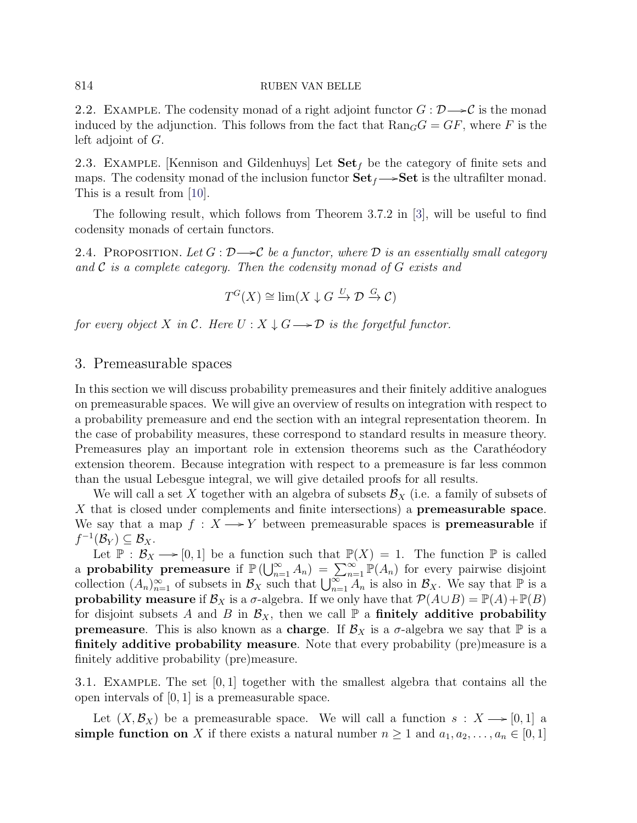2.2. EXAMPLE. The codensity monad of a right adjoint functor  $G: \mathcal{D} \rightarrow \mathcal{C}$  is the monad induced by the adjunction. This follows from the fact that  $\text{Ran}_G G = GF$ , where F is the left adjoint of G.

2.3. EXAMPLE. [Kennison and Gildenhuys] Let  $\textbf{Set}_f$  be the category of finite sets and maps. The codensity monad of the inclusion functor  $\textbf{Set}_f \longrightarrow \textbf{Set}$  is the ultrafilter monad. This is a result from [\[10\]](#page-31-4).

The following result, which follows from Theorem 3.7.2 in [\[3\]](#page-30-7), will be useful to find codensity monads of certain functors.

<span id="page-3-1"></span>2.4. PROPOSITION. Let  $G: \mathcal{D} \longrightarrow \mathcal{C}$  be a functor, where  $\mathcal D$  is an essentially small category and  $\mathcal C$  is a complete category. Then the codensity monad of  $G$  exists and

$$
T^{G}(X) \cong \lim(X \downarrow G \xrightarrow{U} \mathcal{D} \xrightarrow{G} \mathcal{C})
$$

for every object X in C. Here  $U : X \downarrow G \longrightarrow \mathcal{D}$  is the forgetful functor.

# <span id="page-3-0"></span>3. Premeasurable spaces

In this section we will discuss probability premeasures and their finitely additive analogues on premeasurable spaces. We will give an overview of results on integration with respect to a probability premeasure and end the section with an integral representation theorem. In the case of probability measures, these correspond to standard results in measure theory. Premeasures play an important role in extension theorems such as the Carathéodory extension theorem. Because integration with respect to a premeasure is far less common than the usual Lebesgue integral, we will give detailed proofs for all results.

We will call a set X together with an algebra of subsets  $\mathcal{B}_X$  (i.e. a family of subsets of X that is closed under complements and finite intersections) a **premeasurable space**. We say that a map  $f : X \longrightarrow Y$  between premeasurable spaces is **premeasurable** if  $f^{-1}(\mathcal{B}_Y) \subseteq \mathcal{B}_X.$ 

Let  $\mathbb{P}: \mathcal{B}_X \longrightarrow [0,1]$  be a function such that  $\mathbb{P}(X) = 1$ . The function  $\mathbb{P}$  is called a **probability premeasure** if  $\mathbb{P}(\bigcup_{n=1}^{\infty} A_n) = \sum_{n=1}^{\infty} \mathbb{P}(A_n)$  for every pairwise disjoint collection  $(A_n)_{n=1}^{\infty}$  of subsets in  $\mathcal{B}_X$  such that  $\bigcup_{n=1}^{\infty} A_n$  is also in  $\mathcal{B}_X$ . We say that  $\mathbb{P}$  is a **probability measure** if  $\mathcal{B}_X$  is a  $\sigma$ -algebra. If we only have that  $\mathcal{P}(A\cup B) = \mathbb{P}(A) + \mathbb{P}(B)$ for disjoint subsets A and B in  $\mathcal{B}_X$ , then we call  $\mathbb P$  a finitely additive probability **premeasure.** This is also known as a **charge**. If  $\mathcal{B}_X$  is a  $\sigma$ -algebra we say that  $\mathbb{P}$  is a finitely additive probability measure. Note that every probability (pre)measure is a finitely additive probability (pre)measure.

3.1. Example. The set [0, 1] together with the smallest algebra that contains all the open intervals of [0, 1] is a premeasurable space.

Let  $(X, \mathcal{B}_X)$  be a premeasurable space. We will call a function  $s: X \longrightarrow [0, 1]$  a simple function on X if there exists a natural number  $n \geq 1$  and  $a_1, a_2, \ldots, a_n \in [0, 1]$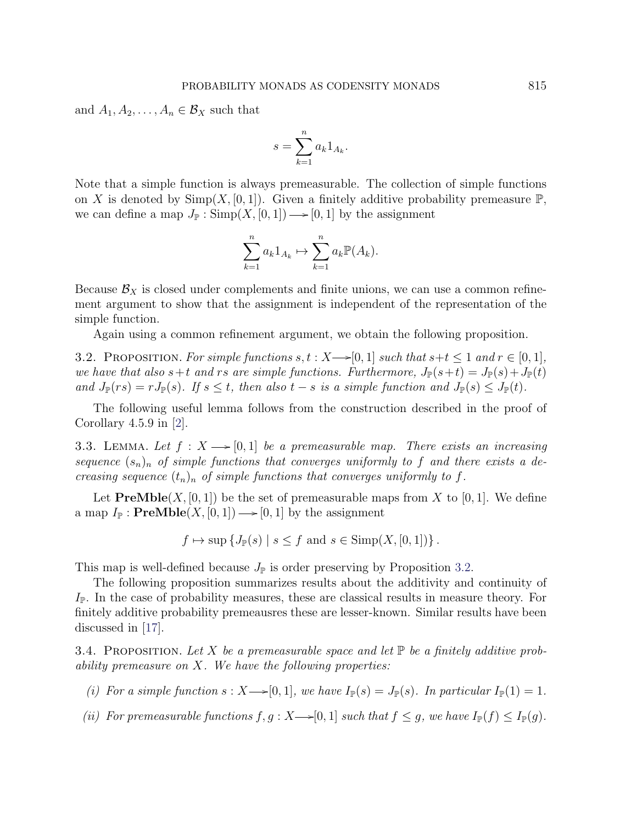and  $A_1, A_2, \ldots, A_n \in \mathcal{B}_X$  such that

$$
s = \sum_{k=1}^{n} a_k 1_{A_k}.
$$

Note that a simple function is always premeasurable. The collection of simple functions on X is denoted by  $\text{Simp}(X,[0,1])$ . Given a finitely additive probability premeasure  $\mathbb{P}$ , we can define a map  $J_{\mathbb{P}} : \text{Simp}(X, [0, 1]) \longrightarrow [0, 1]$  by the assignment

$$
\sum_{k=1}^{n} a_k 1_{A_k} \mapsto \sum_{k=1}^{n} a_k \mathbb{P}(A_k).
$$

Because  $\mathcal{B}_X$  is closed under complements and finite unions, we can use a common refinement argument to show that the assignment is independent of the representation of the simple function.

Again using a common refinement argument, we obtain the following proposition.

<span id="page-4-0"></span>3.2. PROPOSITION. For simple functions  $s, t : X \rightarrow [0, 1]$  such that  $s+t \leq 1$  and  $r \in [0, 1]$ , we have that also  $s+t$  and rs are simple functions. Furthermore,  $J_{\mathbb{P}}(s+t) = J_{\mathbb{P}}(s) + J_{\mathbb{P}}(t)$ and  $J_{\mathbb{P}}(rs) = rJ_{\mathbb{P}}(s)$ . If  $s \leq t$ , then also  $t - s$  is a simple function and  $J_{\mathbb{P}}(s) \leq J_{\mathbb{P}}(t)$ .

The following useful lemma follows from the construction described in the proof of Corollary 4.5.9 in [\[2\]](#page-30-8).

<span id="page-4-1"></span>3.3. LEMMA. Let  $f: X \longrightarrow [0, 1]$  be a premeasurable map. There exists an increasing sequence  $(s_n)_n$  of simple functions that converges uniformly to f and there exists a decreasing sequence  $(t_n)_n$  of simple functions that converges uniformly to f.

Let  $\textbf{PreMble}(X, [0, 1])$  be the set of premeasurable maps from X to [0, 1]. We define a map  $I_{\mathbb{P}}$ : **PreMble** $(X, [0, 1]) \longrightarrow [0, 1]$  by the assignment

$$
f \mapsto \sup \{J_{\mathbb{P}}(s) \mid s \le f \text{ and } s \in \text{Simp}(X,[0,1])\}.
$$

This map is well-defined because  $J_{\mathbb{P}}$  is order preserving by Proposition [3.2.](#page-4-0)

The following proposition summarizes results about the additivity and continuity of  $I_{\mathbb{P}}$ . In the case of probability measures, these are classical results in measure theory. For finitely additive probability premeausres these are lesser-known. Similar results have been discussed in [\[17\]](#page-31-5).

<span id="page-4-3"></span>3.4. PROPOSITION. Let X be a premeasurable space and let  $\mathbb P$  be a finitely additive probability premeasure on X. We have the following properties:

- (i) For a simple function  $s: X \rightarrow [0, 1]$ , we have  $I_{\mathbb{P}}(s) = J_{\mathbb{P}}(s)$ . In particular  $I_{\mathbb{P}}(1) = 1$ .
- <span id="page-4-2"></span>(ii) For premeasurable functions  $f, g: X \rightarrow [0, 1]$  such that  $f \leq g$ , we have  $I_{\mathbb{P}}(f) \leq I_{\mathbb{P}}(g)$ .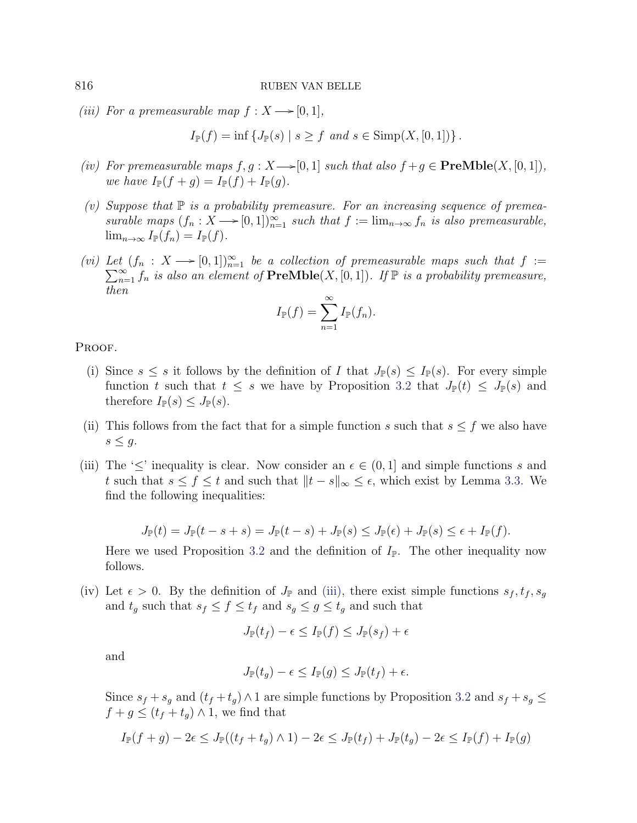<span id="page-5-0"></span>(iii) For a premeasurable map  $f: X \longrightarrow [0, 1],$ 

$$
I_{\mathbb{P}}(f) = \inf \{ J_{\mathbb{P}}(s) \mid s \ge f \text{ and } s \in \text{Simp}(X, [0, 1]) \}.
$$

- <span id="page-5-1"></span>(iv) For premeasurable maps  $f, g: X \rightarrow [0, 1]$  such that also  $f + g \in \textbf{PreMble}(X, [0, 1]),$ we have  $I_{\mathbb{P}}(f+g) = I_{\mathbb{P}}(f) + I_{\mathbb{P}}(q)$ .
- <span id="page-5-2"></span>(v) Suppose that  $\mathbb P$  is a probability premeasure. For an increasing sequence of premeasurable maps  $(f_n : X \longrightarrow [0, 1])_{n=1}^{\infty}$  such that  $f := \lim_{n \to \infty} f_n$  is also premeasurable,  $\lim_{n\to\infty} I_{\mathbb{P}}(f_n) = I_{\mathbb{P}}(f).$
- <span id="page-5-3"></span>(vi) Let  $(f_n : X \longrightarrow [0, 1])_{n=1}^{\infty}$  be a collection of premeasurable maps such that  $f :=$  $\sum_{n=1}^{\infty} f_n$  is also an element of  $\textbf{PreMble}(X,[0,1])$ . If  $\mathbb P$  is a probability premeasure, then

$$
I_{\mathbb{P}}(f) = \sum_{n=1}^{\infty} I_{\mathbb{P}}(f_n).
$$

PROOF.

- (i) Since  $s \leq s$  it follows by the definition of I that  $J_{\mathbb{P}}(s) \leq I_{\mathbb{P}}(s)$ . For every simple function t such that  $t \leq s$  we have by Proposition [3.2](#page-4-0) that  $J_{\mathbb{P}}(t) \leq J_{\mathbb{P}}(s)$  and therefore  $I_{\mathbb{P}}(s) \leq J_{\mathbb{P}}(s)$ .
- (ii) This follows from the fact that for a simple function s such that  $s \leq f$  we also have  $s \leq g$ .
- (iii) The ' $\leq$ ' inequality is clear. Now consider an  $\epsilon \in (0,1]$  and simple functions s and t such that  $s \le f \le t$  and such that  $||t - s||_{\infty} \le \epsilon$ , which exist by Lemma [3.3.](#page-4-1) We find the following inequalities:

$$
J_{\mathbb{P}}(t)=J_{\mathbb{P}}(t-s+s)=J_{\mathbb{P}}(t-s)+J_{\mathbb{P}}(s)\leq J_{\mathbb{P}}(\epsilon)+J_{\mathbb{P}}(s)\leq \epsilon+I_{\mathbb{P}}(f).
$$

Here we used Proposition [3.2](#page-4-0) and the definition of  $I_{\mathbb{P}}$ . The other inequality now follows.

(iv) Let  $\epsilon > 0$ . By the definition of  $J_{\mathbb{P}}$  and [\(iii\),](#page-5-0) there exist simple functions  $s_f, t_f, s_g$ and  $t_g$  such that  $s_f \leq f \leq t_f$  and  $s_g \leq g \leq t_g$  and such that

$$
J_{\mathbb{P}}(t_f) - \epsilon \le I_{\mathbb{P}}(f) \le J_{\mathbb{P}}(s_f) + \epsilon
$$

and

$$
J_{\mathbb{P}}(t_g) - \epsilon \le I_{\mathbb{P}}(g) \le J_{\mathbb{P}}(t_f) + \epsilon.
$$

Since  $s_f + s_g$  and  $(t_f + t_g) \wedge 1$  are simple functions by Proposition [3.2](#page-4-0) and  $s_f + s_g \leq$  $f + g \leq (t_f + t_g) \wedge 1$ , we find that

$$
I_{\mathbb{P}}(f+g) - 2\epsilon \leq J_{\mathbb{P}}((t_f + t_g) \wedge 1) - 2\epsilon \leq J_{\mathbb{P}}(t_f) + J_{\mathbb{P}}(t_g) - 2\epsilon \leq I_{\mathbb{P}}(f) + I_{\mathbb{P}}(g)
$$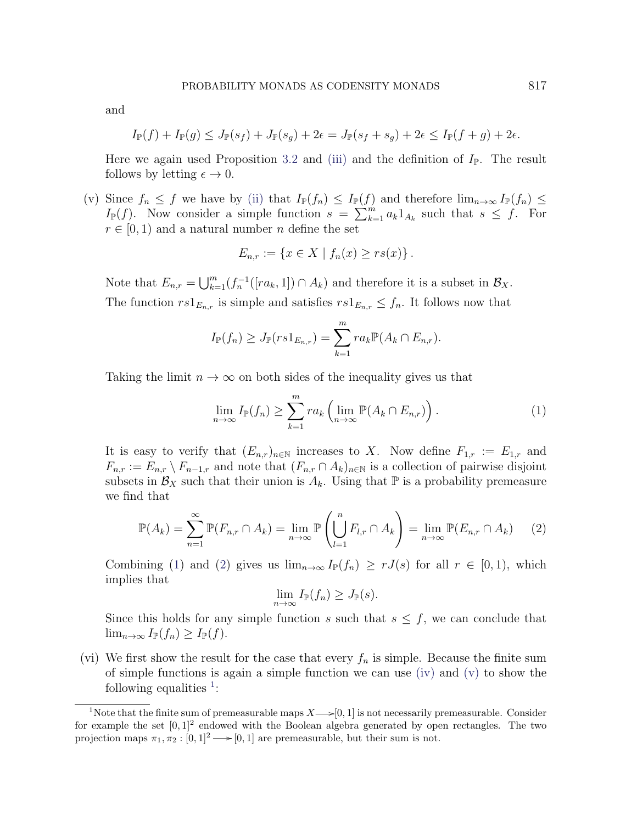and

$$
I_{\mathbb{P}}(f) + I_{\mathbb{P}}(g) \leq J_{\mathbb{P}}(s_f) + J_{\mathbb{P}}(s_g) + 2\epsilon = J_{\mathbb{P}}(s_f + s_g) + 2\epsilon \leq I_{\mathbb{P}}(f + g) + 2\epsilon.
$$

Here we again used Proposition [3.2](#page-4-0) and [\(iii\)](#page-5-0) and the definition of  $I_{\mathbb{P}}$ . The result follows by letting  $\epsilon \to 0$ .

(v) Since  $f_n \leq f$  we have by [\(ii\)](#page-4-2) that  $I_{\mathbb{P}}(f_n) \leq I_{\mathbb{P}}(f)$  and therefore  $\lim_{n\to\infty}I_{\mathbb{P}}(f_n) \leq$  $I_{\mathbb{P}}(f)$ . Now consider a simple function  $s = \sum_{k=1}^{m} a_k 1_{A_k}$  such that  $s \leq f$ . For  $r \in [0, 1)$  and a natural number *n* define the set

$$
E_{n,r} := \{ x \in X \mid f_n(x) \ge rs(x) \} .
$$

Note that  $E_{n,r} = \bigcup_{k=1}^m (f_n^{-1}([ra_k, 1]) \cap A_k)$  and therefore it is a subset in  $\mathcal{B}_X$ . The function  $rs1_{E_{n,r}}$  is simple and satisfies  $rs1_{E_{n,r}} \leq f_n$ . It follows now that

$$
I_{\mathbb{P}}(f_n) \geq J_{\mathbb{P}}(rs1_{E_{n,r}}) = \sum_{k=1}^m ra_k \mathbb{P}(A_k \cap E_{n,r}).
$$

Taking the limit  $n \to \infty$  on both sides of the inequality gives us that

<span id="page-6-0"></span>
$$
\lim_{n \to \infty} I_{\mathbb{P}}(f_n) \ge \sum_{k=1}^m r a_k \left( \lim_{n \to \infty} \mathbb{P}(A_k \cap E_{n,r}) \right).
$$
 (1)

It is easy to verify that  $(E_{n,r})_{n\in\mathbb{N}}$  increases to X. Now define  $F_{1,r} := E_{1,r}$  and  $F_{n,r} := E_{n,r} \setminus F_{n-1,r}$  and note that  $(F_{n,r} \cap A_k)_{n \in \mathbb{N}}$  is a collection of pairwise disjoint subsets in  $\mathcal{B}_X$  such that their union is  $A_k$ . Using that  $\mathbb P$  is a probability premeasure we find that

<span id="page-6-1"></span>
$$
\mathbb{P}(A_k) = \sum_{n=1}^{\infty} \mathbb{P}(F_{n,r} \cap A_k) = \lim_{n \to \infty} \mathbb{P}\left(\bigcup_{l=1}^{n} F_{l,r} \cap A_k\right) = \lim_{n \to \infty} \mathbb{P}(E_{n,r} \cap A_k) \tag{2}
$$

Combining [\(1\)](#page-6-0) and [\(2\)](#page-6-1) gives us  $\lim_{n\to\infty} I_{\mathbb{P}}(f_n) \ge r J(s)$  for all  $r \in [0,1)$ , which implies that

$$
\lim_{n\to\infty} I_{\mathbb{P}}(f_n) \geq J_{\mathbb{P}}(s).
$$

Since this holds for any simple function s such that  $s \leq f$ , we can conclude that  $\lim_{n\to\infty} I_{\mathbb{P}}(f_n) \geq I_{\mathbb{P}}(f).$ 

(vi) We first show the result for the case that every  $f_n$  is simple. Because the finite sum of simple functions is again a simple function we can use [\(iv\)](#page-5-1) and [\(v\)](#page-5-2) to show the following equalities  $\frac{1}{1}$  $\frac{1}{1}$  $\frac{1}{1}$ :

<span id="page-6-2"></span><sup>&</sup>lt;sup>1</sup>Note that the finite sum of premeasurable maps  $X \rightarrow [0, 1]$  is not necessarily premeasurable. Consider for example the set  $[0,1]^2$  endowed with the Boolean algebra generated by open rectangles. The two projection maps  $\pi_1, \pi_2 : [0, 1]^2 \longrightarrow [0, 1]$  are premeasurable, but their sum is not.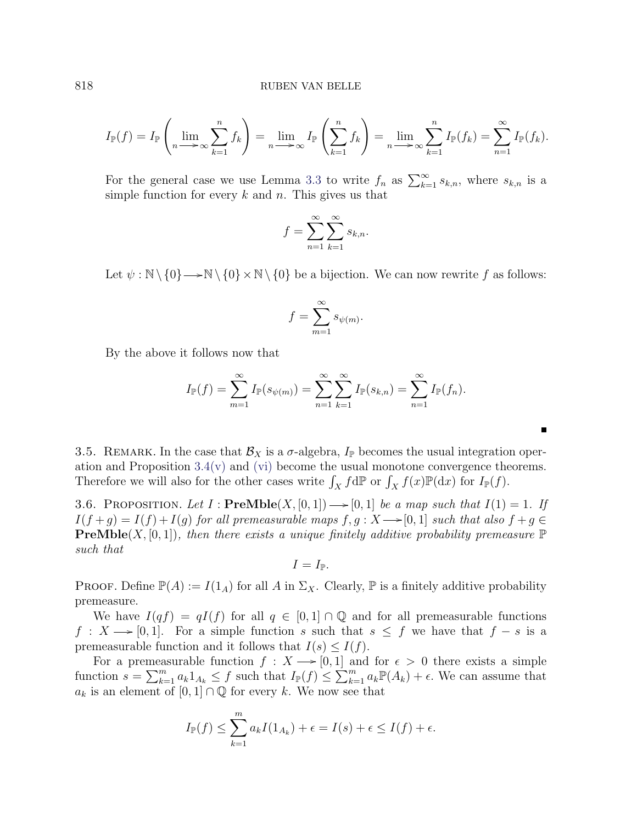$$
I_{\mathbb{P}}(f) = I_{\mathbb{P}}\left(\lim_{n \to \infty} \sum_{k=1}^{n} f_k\right) = \lim_{n \to \infty} I_{\mathbb{P}}\left(\sum_{k=1}^{n} f_k\right) = \lim_{n \to \infty} \sum_{k=1}^{n} I_{\mathbb{P}}(f_k) = \sum_{n=1}^{\infty} I_{\mathbb{P}}(f_k).
$$

For the general case we use Lemma [3.3](#page-4-1) to write  $f_n$  as  $\sum_{k=1}^{\infty} s_{k,n}$ , where  $s_{k,n}$  is a simple function for every  $k$  and  $n$ . This gives us that

$$
f = \sum_{n=1}^{\infty} \sum_{k=1}^{\infty} s_{k,n}.
$$

Let  $\psi : \mathbb{N} \setminus \{0\} \longrightarrow \mathbb{N} \setminus \{0\} \times \mathbb{N} \setminus \{0\}$  be a bijection. We can now rewrite f as follows:

$$
f = \sum_{m=1}^{\infty} s_{\psi(m)}.
$$

By the above it follows now that

$$
I_{\mathbb{P}}(f) = \sum_{m=1}^{\infty} I_{\mathbb{P}}(s_{\psi(m)}) = \sum_{n=1}^{\infty} \sum_{k=1}^{\infty} I_{\mathbb{P}}(s_{k,n}) = \sum_{n=1}^{\infty} I_{\mathbb{P}}(f_n).
$$

3.5. REMARK. In the case that  $\mathcal{B}_X$  is a  $\sigma$ -algebra,  $I_{\mathbb{P}}$  becomes the usual integration operation and Proposition  $3.4(v)$  $3.4(v)$  and [\(vi\)](#page-5-3) become the usual monotone convergence theorems. Therefore we will also for the other cases write  $\int_X f d\mathbb{P}$  or  $\int_X f(x) \mathbb{P}(dx)$  for  $I_{\mathbb{P}}(f)$ .

<span id="page-7-0"></span>3.6. PROPOSITION. Let  $I : \textbf{PreMble}(X, [0, 1]) \longrightarrow [0, 1]$  be a map such that  $I(1) = 1$ . If  $I(f + g) = I(f) + I(g)$  for all premeasurable maps  $f, g: X \rightarrow [0, 1]$  such that also  $f + g \in$ **PreMble** $(X, [0, 1])$ , then there exists a unique finitely additive probability premeasure  $\mathbb{P}$ such that

$$
I=I_{\mathbb{P}}.
$$

**PROOF.** Define  $\mathbb{P}(A) := I(1_A)$  for all A in  $\Sigma_X$ . Clearly,  $\mathbb{P}$  is a finitely additive probability premeasure.

We have  $I(qf) = qI(f)$  for all  $q \in [0,1] \cap \mathbb{Q}$  and for all premeasurable functions  $f: X \longrightarrow [0, 1].$  For a simple function s such that  $s \leq f$  we have that  $f - s$  is a premeasurable function and it follows that  $I(s) \leq I(f)$ .

For a premeasurable function  $f: X \longrightarrow [0, 1]$  and for  $\epsilon > 0$  there exists a simple function  $s = \sum_{k=1}^m a_k 1_{A_k} \leq f$  such that  $I_{\mathbb{P}}(f) \leq \sum_{k=1}^m a_k \mathbb{P}(A_k) + \epsilon$ . We can assume that  $a_k$  is an element of  $[0, 1] \cap \mathbb{Q}$  for every k. We now see that

$$
I_{\mathbb{P}}(f) \leq \sum_{k=1}^{m} a_k I(1_{A_k}) + \epsilon = I(s) + \epsilon \leq I(f) + \epsilon.
$$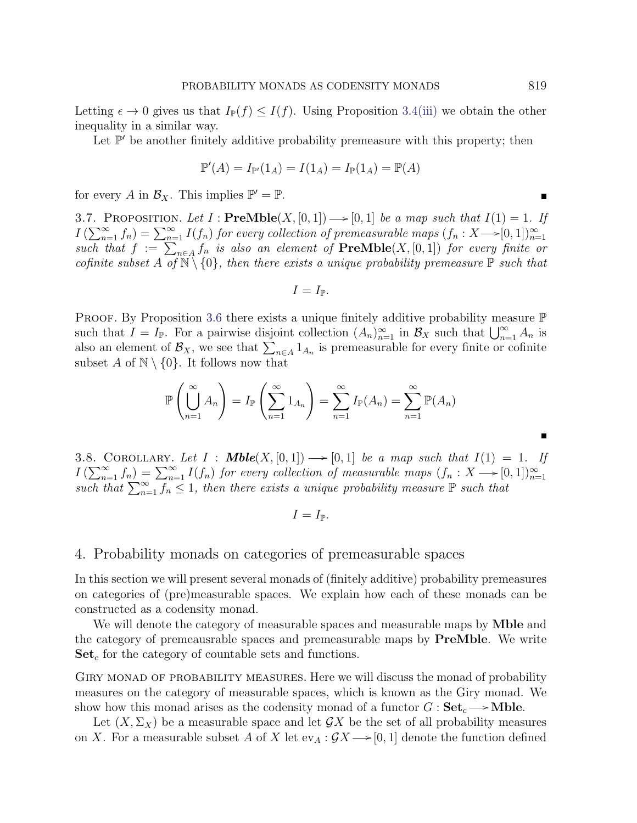Letting  $\epsilon \to 0$  gives us that  $I_{\mathbb{P}}(f) \leq I(f)$ . Using Proposition [3.4](#page-4-3)[\(iii\)](#page-5-0) we obtain the other inequality in a similar way.

Let  $\mathbb{P}'$  be another finitely additive probability premeasure with this property; then

$$
\mathbb{P}'(A) = I_{\mathbb{P}'}(1_A) = I(1_A) = I_{\mathbb{P}}(1_A) = \mathbb{P}(A)
$$

for every A in  $\mathcal{B}_X$ . This implies  $\mathbb{P}' = \mathbb{P}$ .

<span id="page-8-2"></span>3.7. PROPOSITION. Let  $I : \textbf{PreMble}(X, [0, 1]) \longrightarrow [0, 1]$  be a map such that  $I(1) = 1$ . If  $I\left(\sum_{n=1}^{\infty}f_n\right)=\sum_{n=1}^{\infty}I(f_n)$  for every collection of premeasurable maps  $(f_n:X\rightarrow [0,1])_{n=1}^{\infty}$ such that  $f := \sum_{n \in A} f_n$  is also an element of  $\textbf{PreMble}(X, [0, 1])$  for every finite or cofinite subset A of  $\mathbb{N} \setminus \{0\}$ , then there exists a unique probability premeasure  $\mathbb{P}$  such that

$$
I=I_{\mathbb{P}}.
$$

**PROOF.** By Proposition [3.6](#page-7-0) there exists a unique finitely additive probability measure  $\mathbb{P}$ such that  $I = I_{\mathbb{P}}$ . For a pairwise disjoint collection  $(A_n)_{n=1}^{\infty}$  in  $\mathcal{B}_X$  such that  $\bigcup_{n=1}^{\infty} A_n$  is also an element of  $\mathcal{B}_X$ , we see that  $\sum_{n\in A} 1_{A_n}$  is premeasurable for every finite or cofinite subset A of  $\mathbb{N} \setminus \{0\}$ . It follows now that

$$
\mathbb{P}\left(\bigcup_{n=1}^{\infty} A_n\right) = I_{\mathbb{P}}\left(\sum_{n=1}^{\infty} 1_{A_n}\right) = \sum_{n=1}^{\infty} I_{\mathbb{P}}(A_n) = \sum_{n=1}^{\infty} \mathbb{P}(A_n)
$$

<span id="page-8-1"></span>3.8. COROLLARY. Let  $I : \textbf{Mble}(X, [0, 1]) \longrightarrow [0, 1]$  be a map such that  $I(1) = 1$ . If  $I\left(\sum_{n=1}^{\infty} f_n\right) = \sum_{n=1}^{\infty} I(f_n)$  for every collection of measurable maps  $(f_n : X \longrightarrow [0,1])_{n=1}^{\infty}$ <br>such that  $\sum_{n=1}^{\infty} f_n \leq 1$ , then there exists a unique probability measure  $\mathbb P$  such that

$$
I=I_{\mathbb{P}}.
$$

# <span id="page-8-0"></span>4. Probability monads on categories of premeasurable spaces

In this section we will present several monads of (finitely additive) probability premeasures on categories of (pre)measurable spaces. We explain how each of these monads can be constructed as a codensity monad.

We will denote the category of measurable spaces and measurable maps by **Mble** and the category of premeausrable spaces and premeasurable maps by PreMble. We write  $\mathbf{Set}_c$  for the category of countable sets and functions.

Giry monad of probability measures. Here we will discuss the monad of probability measures on the category of measurable spaces, which is known as the Giry monad. We show how this monad arises as the codensity monad of a functor  $G: \mathbf{Set}_c \longrightarrow \mathbf{Mble}$ .

Let  $(X, \Sigma_X)$  be a measurable space and let  $\mathcal{G}X$  be the set of all probability measures on X. For a measurable subset A of X let  $ev_A : \mathcal{G}X \longrightarrow [0, 1]$  denote the function defined

Е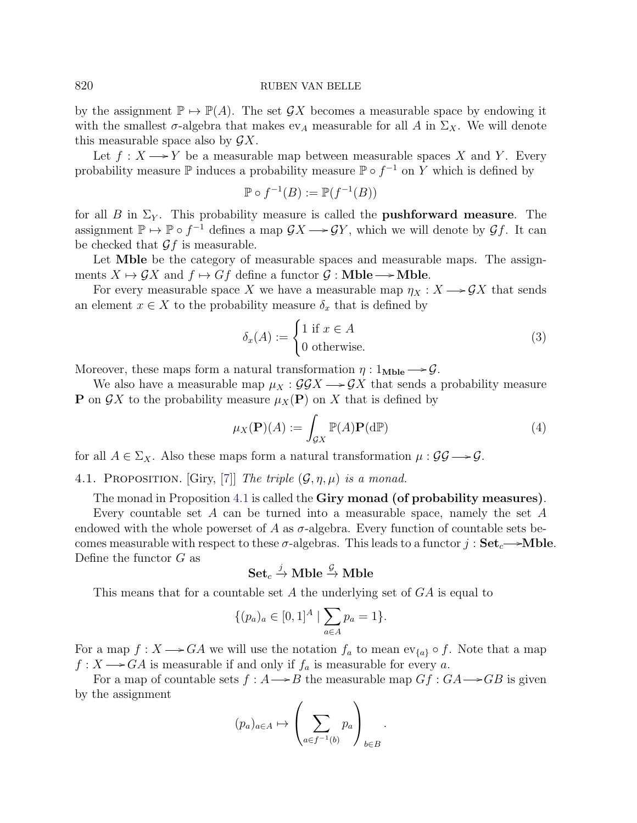by the assignment  $\mathbb{P} \mapsto \mathbb{P}(A)$ . The set  $\mathcal{G}X$  becomes a measurable space by endowing it with the smallest  $\sigma$ -algebra that makes  $ev_A$  measurable for all A in  $\Sigma_X$ . We will denote this measurable space also by  $\mathcal{G}X$ .

Let  $f: X \longrightarrow Y$  be a measurable map between measurable spaces X and Y. Every probability measure  $\mathbb P$  induces a probability measure  $\mathbb P \circ f^{-1}$  on Y which is defined by

$$
\mathbb{P} \circ f^{-1}(B) := \mathbb{P}(f^{-1}(B))
$$

for all B in  $\Sigma_Y$ . This probability measure is called the **pushforward measure**. The assignment  $\mathbb{P} \mapsto \mathbb{P} \circ f^{-1}$  defines a map  $\mathcal{G}X \longrightarrow \mathcal{G}Y$ , which we will denote by  $\mathcal{G}f$ . It can be checked that  $\mathcal{G}f$  is measurable.

Let **Mble** be the category of measurable spaces and measurable maps. The assignments  $X \mapsto \mathcal{G}X$  and  $f \mapsto Gf$  define a functor  $\mathcal{G}$  : Mble  $\longrightarrow$  Mble.

For every measurable space X we have a measurable map  $\eta_X : X \longrightarrow \mathcal{G}X$  that sends an element  $x \in X$  to the probability measure  $\delta_x$  that is defined by

<span id="page-9-1"></span>
$$
\delta_x(A) := \begin{cases} 1 \text{ if } x \in A \\ 0 \text{ otherwise.} \end{cases}
$$
 (3)

Moreover, these maps form a natural transformation  $\eta: 1_{\text{Mble}} \longrightarrow \mathcal{G}$ .

We also have a measurable map  $\mu_X : \mathcal{G} \mathcal{G} X \longrightarrow \mathcal{G} X$  that sends a probability measure **P** on  $\mathcal{G}X$  to the probability measure  $\mu_X(\mathbf{P})$  on X that is defined by

<span id="page-9-2"></span>
$$
\mu_X(\mathbf{P})(A) := \int_{\mathcal{G}X} \mathbb{P}(A)\mathbf{P}(\mathrm{d}\mathbb{P})
$$
\n(4)

for all  $A \in \Sigma_X$ . Also these maps form a natural transformation  $\mu : \mathcal{GG} \longrightarrow \mathcal{G}$ .

<span id="page-9-0"></span>4.1. PROPOSITION. [Giry, [\[7\]](#page-30-1)] The triple  $(\mathcal{G}, \eta, \mu)$  is a monad.

The monad in Proposition [4.1](#page-9-0) is called the **Giry monad (of probability measures)**.

Every countable set A can be turned into a measurable space, namely the set A endowed with the whole powerset of A as  $\sigma$ -algebra. Every function of countable sets becomes measurable with respect to these  $\sigma$ -algebras. This leads to a functor  $j : Set_c \rightarrow Mble$ . Define the functor G as

 $\operatorname{Set}_c \overset{j}{\to} \operatorname{Mble} \overset{\mathcal{G}}{\to} \operatorname{Mble}$ 

This means that for a countable set A the underlying set of GA is equal to

$$
\{(p_a)_a \in [0,1]^A \mid \sum_{a \in A} p_a = 1\}.
$$

For a map  $f: X \longrightarrow GA$  we will use the notation  $f_a$  to mean  $ev_{\{a\}} \circ f$ . Note that a map  $f: X \longrightarrow GA$  is measurable if and only if  $f_a$  is measurable for every a.

For a map of countable sets  $f : A \rightarrow B$  the measurable map  $Gf : GA \rightarrow GB$  is given by the assignment

$$
(p_a)_{a \in A} \mapsto \left(\sum_{a \in f^{-1}(b)} p_a\right)_{b \in B}.
$$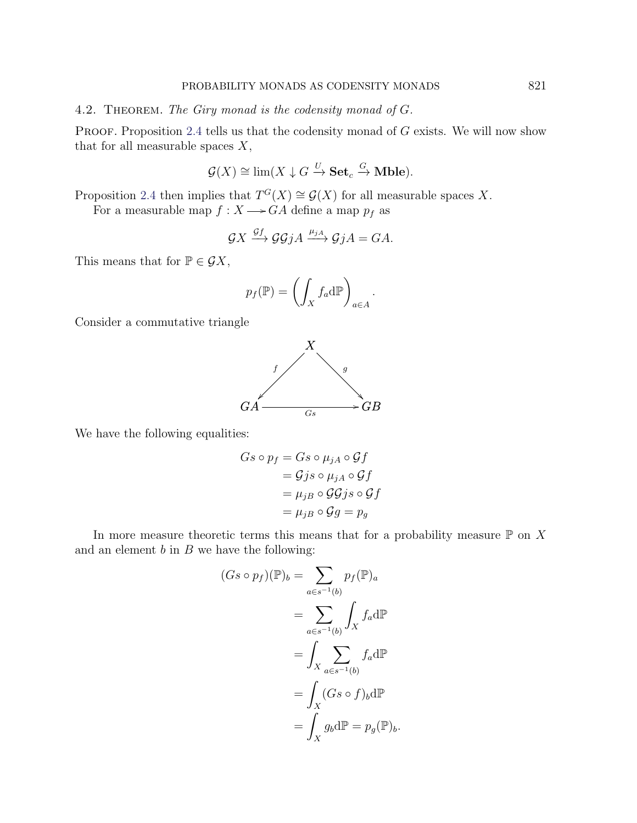## <span id="page-10-0"></span>4.2. THEOREM. The Giry monad is the codensity monad of G.

PROOF. Proposition [2.4](#page-3-1) tells us that the codensity monad of  $G$  exists. We will now show that for all measurable spaces  $X$ ,

$$
\mathcal{G}(X) \cong \lim(X \downarrow G \xrightarrow{U} \mathbf{Set}_c \xrightarrow{G} \mathbf{Mble}).
$$

Proposition [2.4](#page-3-1) then implies that  $T^{G}(X) \cong \mathcal{G}(X)$  for all measurable spaces X.

For a measurable map  $f : X \longrightarrow GA$  define a map  $p_f$  as

$$
\mathcal{G}X \xrightarrow{\mathcal{G}f} \mathcal{G}\mathcal{G}jA \xrightarrow{\mu_{jA}} \mathcal{G}jA = GA.
$$

This means that for  $P \in \mathcal{G}X$ ,

$$
p_f(\mathbb{P}) = \left(\int_X f_a d\mathbb{P}\right)_{a \in A}.
$$

Consider a commutative triangle



We have the following equalities:

$$
Gs \circ p_f = Gs \circ \mu_{jA} \circ \mathcal{G}f
$$
  
=  $\mathcal{G}j s \circ \mu_{jA} \circ \mathcal{G}f$   
=  $\mu_{jB} \circ \mathcal{G}\mathcal{G}j s \circ \mathcal{G}f$   
=  $\mu_{jB} \circ \mathcal{G}g = p_g$ 

In more measure theoretic terms this means that for a probability measure  $\mathbb P$  on X and an element  $b$  in  $B$  we have the following:

$$
(Gs \circ p_f)(\mathbb{P})_b = \sum_{a \in s^{-1}(b)} p_f(\mathbb{P})_a
$$

$$
= \sum_{a \in s^{-1}(b)} \int_X f_a d\mathbb{P}
$$

$$
= \int_X \sum_{a \in s^{-1}(b)} f_a d\mathbb{P}
$$

$$
= \int_X (Gs \circ f)_b d\mathbb{P}
$$

$$
= \int_X g_b d\mathbb{P} = p_g(\mathbb{P})_b.
$$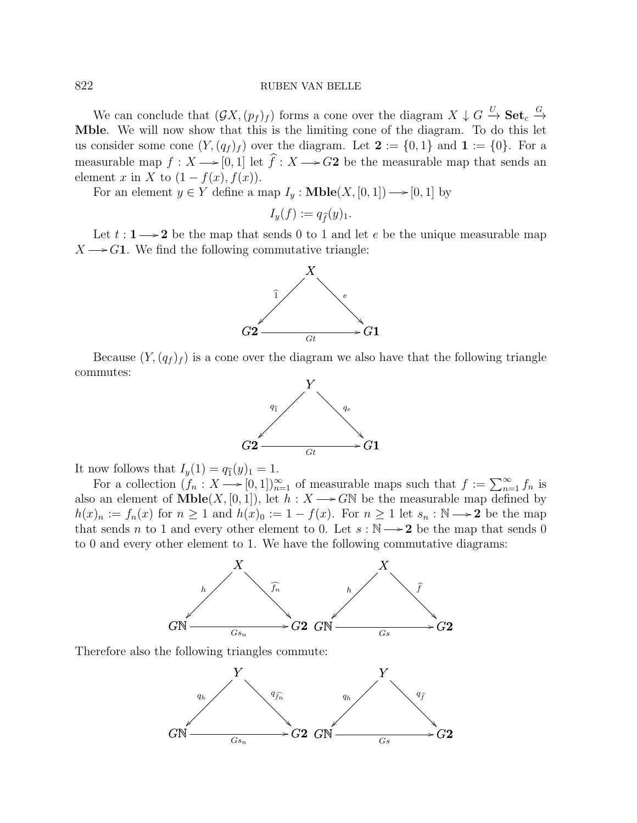We can conclude that  $(\mathcal{G}X,(p_f)_f)$  forms a cone over the diagram  $X \downarrow G \stackrel{U}{\rightarrow} \mathbf{Set}_c \stackrel{G}{\rightarrow}$ Mble. We will now show that this is the limiting cone of the diagram. To do this let us consider some cone  $(Y, (q_f)_f)$  over the diagram. Let  $\mathbf{2} := \{0,1\}$  and  $\mathbf{1} := \{0\}$ . For a measurable map  $f : X \longrightarrow [0, 1]$  let  $\widehat{f} : X \longrightarrow G2$  be the measurable map that sends an element x in X to  $(1 - f(x), f(x))$ .

For an element  $y \in Y$  define a map  $I_y : \textbf{Mble}(X, [0, 1]) \longrightarrow [0, 1]$  by

$$
I_y(f) := q_{\widehat{f}}(y)_1.
$$

Let  $t : 1 \longrightarrow 2$  be the map that sends 0 to 1 and let e be the unique measurable map  $X \longrightarrow G1$ . We find the following commutative triangle:



Because  $(Y,(q_f)_f)$  is a cone over the diagram we also have that the following triangle commutes:



It now follows that  $I_y(1) = q_1(y)_1 = 1$ .

For a collection  $(f_n : X \longrightarrow [0, 1])_{n=1}^{\infty}$  of measurable maps such that  $f := \sum_{n=1}^{\infty} f_n$  is also an element of  $\text{Mble}(X, [0, 1])$ , let  $h : X \longrightarrow G\mathbb{N}$  be the measurable map defined by  $h(x)_n := f_n(x)$  for  $n \ge 1$  and  $h(x)_0 := 1 - f(x)$ . For  $n \ge 1$  let  $s_n : \mathbb{N} \longrightarrow 2$  be the map that sends n to 1 and every other element to 0. Let  $s : \mathbb{N} \longrightarrow 2$  be the map that sends 0 to 0 and every other element to 1. We have the following commutative diagrams:



Therefore also the following triangles commute:

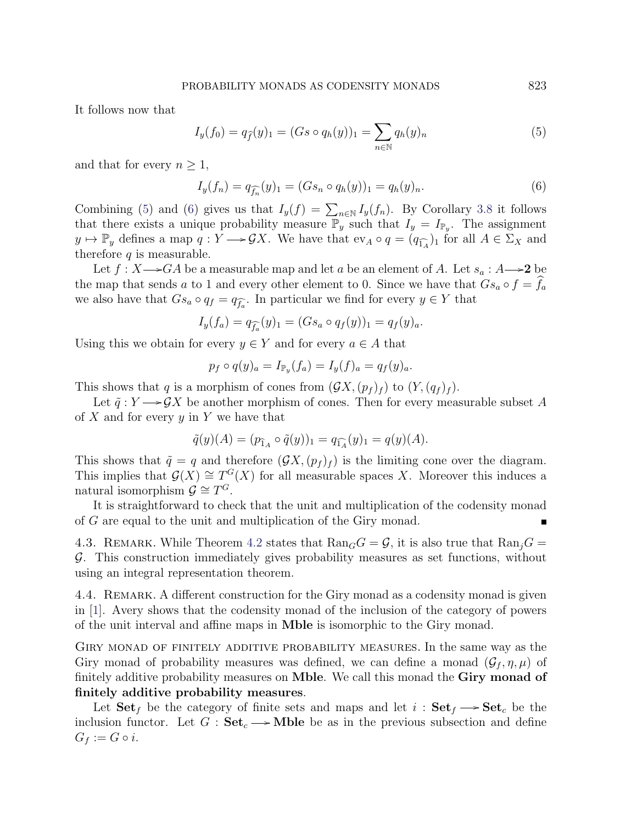It follows now that

<span id="page-12-0"></span>
$$
I_y(f_0) = q_{\hat{f}}(y)_1 = (Gs \circ q_h(y))_1 = \sum_{n \in \mathbb{N}} q_h(y)_n
$$
\n(5)

and that for every  $n \geq 1$ ,

<span id="page-12-1"></span>
$$
I_y(f_n) = q_{\widehat{f_n}}(y)_1 = (Gs_n \circ q_h(y))_1 = q_h(y)_n.
$$
\n(6)

Combining [\(5\)](#page-12-0) and [\(6\)](#page-12-1) gives us that  $I_y(f) = \sum_{n \in \mathbb{N}} I_y(f_n)$ . By Corollary [3.8](#page-8-1) it follows that there exists a unique probability measure  $\mathbb{P}_y$  such that  $I_y = I_{\mathbb{P}_y}$ . The assignment  $y \mapsto \mathbb{P}_y$  defines a map  $q: Y \longrightarrow \mathcal{G}X$ . We have that  $ev_A \circ q = (q_{\widehat{1_A}})_1$  for all  $A \in \Sigma_X$  and therefore  $q$  is measurable.

Let  $f: X \longrightarrow G A$  be a measurable map and let a be an element of A. Let  $s_a: A \longrightarrow 2$  be the map that sends a to 1 and every other element to 0. Since we have that  $Gs_a \circ f = f_a$ we also have that  $Gs_a \circ q_f = q_{\widehat{f_a}}$ . In particular we find for every  $y \in Y$  that

$$
I_y(f_a) = q_{\widehat{f_a}}(y)_1 = (Gs_a \circ q_f(y))_1 = q_f(y)_a.
$$

Using this we obtain for every  $y \in Y$  and for every  $a \in A$  that

$$
p_f \circ q(y)_a = I_{\mathbb{P}_y}(f_a) = I_y(f)_a = q_f(y)_a.
$$

This shows that q is a morphism of cones from  $(\mathcal{G}X,(p_f)_f)$  to  $(Y,(q_f)_f)$ .

Let  $\tilde{q}: Y \longrightarrow \mathcal{G}X$  be another morphism of cones. Then for every measurable subset A of  $X$  and for every  $y$  in  $Y$  we have that

$$
\tilde{q}(y)(A) = (p_{\hat{1}_A} \circ \tilde{q}(y))_1 = q_{\hat{1}_A}(y)_1 = q(y)(A).
$$

This shows that  $\tilde{q} = q$  and therefore  $(\mathcal{G}X,(p_f)_f)$  is the limiting cone over the diagram. This implies that  $\mathcal{G}(X) \cong T^G(X)$  for all measurable spaces X. Moreover this induces a natural isomorphism  $\mathcal{G} \cong T^G$ .

It is straightforward to check that the unit and multiplication of the codensity monad of G are equal to the unit and multiplication of the Giry monad.

4.3. REMARK. While Theorem [4.2](#page-10-0) states that  $\text{Ran}_G G = \mathcal{G}$ , it is also true that  $\text{Ran}_i G =$ G. This construction immediately gives probability measures as set functions, without using an integral representation theorem.

4.4. REMARK. A different construction for the Giry monad as a codensity monad is given in [\[1\]](#page-30-3). Avery shows that the codensity monad of the inclusion of the category of powers of the unit interval and affine maps in Mble is isomorphic to the Giry monad.

Giry monad of finitely additive probability measures. In the same way as the Giry monad of probability measures was defined, we can define a monad  $(\mathcal{G}_f, \eta, \mu)$  of finitely additive probability measures on Mble. We call this monad the Giry monad of finitely additive probability measures.

Let  $\text{Set}_f$  be the category of finite sets and maps and let  $i : \text{Set}_f \longrightarrow \text{Set}_c$  be the inclusion functor. Let  $G : \mathbf{Set}_c \longrightarrow \mathbf{Mble}$  be as in the previous subsection and define  $G_f := G \circ i$ .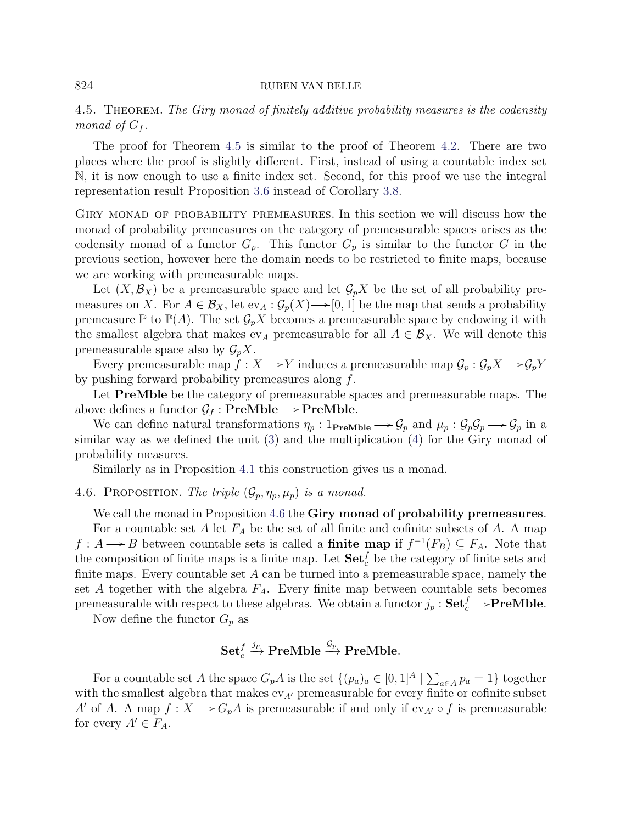# <span id="page-13-0"></span>4.5. THEOREM. The Giry monad of finitely additive probability measures is the codensity monad of  $G_f$ .

The proof for Theorem [4.5](#page-13-0) is similar to the proof of Theorem [4.2.](#page-10-0) There are two places where the proof is slightly different. First, instead of using a countable index set N, it is now enough to use a finite index set. Second, for this proof we use the integral representation result Proposition [3.6](#page-7-0) instead of Corollary [3.8.](#page-8-1)

Giry monad of probability premeasures. In this section we will discuss how the monad of probability premeasures on the category of premeasurable spaces arises as the codensity monad of a functor  $G_p$ . This functor  $G_p$  is similar to the functor G in the previous section, however here the domain needs to be restricted to finite maps, because we are working with premeasurable maps.

Let  $(X, \mathcal{B}_X)$  be a premeasurable space and let  $\mathcal{G}_pX$  be the set of all probability premeasures on X. For  $A \in \mathcal{B}_X$ , let  $ev_A : \mathcal{G}_p(X) \longrightarrow [0, 1]$  be the map that sends a probability premeasure  $\mathbb P$  to  $\mathbb P(A)$ . The set  $\mathcal G_pX$  becomes a premeasurable space by endowing it with the smallest algebra that makes  $ev_A$  premeasurable for all  $A \in \mathcal{B}_X$ . We will denote this premeasurable space also by  $\mathcal{G}_p X$ .

Every premeasurable map  $f : X \longrightarrow Y$  induces a premeasurable map  $\mathcal{G}_p : \mathcal{G}_p X \longrightarrow \mathcal{G}_p Y$ by pushing forward probability premeasures along f.

Let **PreMble** be the category of premeasurable spaces and premeasurable maps. The above defines a functor  $\mathcal{G}_f$ : **PreMble**  $\longrightarrow$  **PreMble**.

We can define natural transformations  $\eta_p: 1_{\text{PreMble}} \longrightarrow \mathcal{G}_p$  and  $\mu_p: \mathcal{G}_p \mathcal{G}_p \longrightarrow \mathcal{G}_p$  in a similar way as we defined the unit [\(3\)](#page-9-1) and the multiplication [\(4\)](#page-9-2) for the Giry monad of probability measures.

Similarly as in Proposition [4.1](#page-9-0) this construction gives us a monad.

<span id="page-13-1"></span>4.6. PROPOSITION. The triple  $(\mathcal{G}_p, \eta_p, \mu_p)$  is a monad.

We call the monad in Proposition [4.6](#page-13-1) the Giry monad of probability premeasures. For a countable set  $A$  let  $F_A$  be the set of all finite and cofinite subsets of  $A$ . A map  $f: A \longrightarrow B$  between countable sets is called a **finite map** if  $f^{-1}(F_B) \subseteq F_A$ . Note that the composition of finite maps is a finite map. Let  $\textbf{Set}^f_c$  be the category of finite sets and finite maps. Every countable set  $A$  can be turned into a premeasurable space, namely the set A together with the algebra  $F_A$ . Every finite map between countable sets becomes premeasurable with respect to these algebras. We obtain a functor  $j_p : \mathbf{Set}_c^f \longrightarrow \mathbf{PreMble}$ .

Now define the functor  $G_p$  as

# $\operatorname{\mathbf{Set}}_c^f \xrightarrow{j_p} \operatorname{\mathbf{PreMble}} \xrightarrow{\mathcal{G}_p} \operatorname{\mathbf{PreMble}}.$

For a countable set A the space  $G_p A$  is the set  $\{(p_a)_a \in [0,1]^A \mid \sum_{a \in A} p_a = 1\}$  together with the smallest algebra that makes  $ev_{A'}$  premeasurable for every finite or cofinite subset A' of A. A map  $f: X \longrightarrow G_pA$  is premeasurable if and only if  $ev_{A'} \circ f$  is premeasurable for every  $A' \in F_A$ .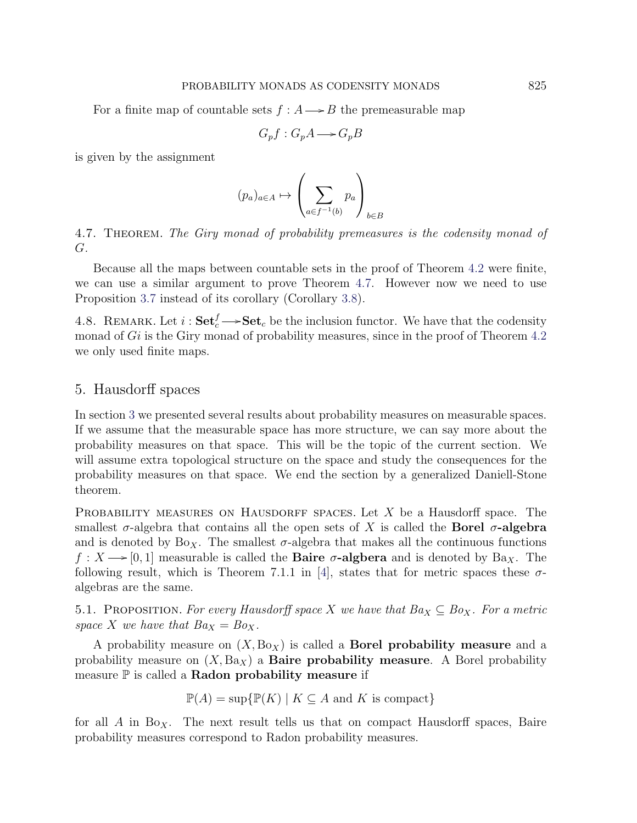For a finite map of countable sets  $f : A \longrightarrow B$  the premeasurable map

$$
G_p f : G_p A \longrightarrow G_p B
$$

is given by the assignment

$$
(p_a)_{a \in A} \mapsto \left(\sum_{a \in f^{-1}(b)} p_a\right)_{b \in B}
$$

<span id="page-14-1"></span>4.7. THEOREM. The Giry monad of probability premeasures is the codensity monad of G.

Because all the maps between countable sets in the proof of Theorem [4.2](#page-10-0) were finite, we can use a similar argument to prove Theorem [4.7.](#page-14-1) However now we need to use Proposition [3.7](#page-8-2) instead of its corollary (Corollary [3.8\)](#page-8-1).

4.8. REMARK. Let  $i: \mathbf{Set}_c^f \longrightarrow \mathbf{Set}_c$  be the inclusion functor. We have that the codensity monad of Gi is the Giry monad of probability measures, since in the proof of Theorem [4.2](#page-10-0) we only used finite maps.

# <span id="page-14-0"></span>5. Hausdorff spaces

In section [3](#page-3-0) we presented several results about probability measures on measurable spaces. If we assume that the measurable space has more structure, we can say more about the probability measures on that space. This will be the topic of the current section. We will assume extra topological structure on the space and study the consequences for the probability measures on that space. We end the section by a generalized Daniell-Stone theorem.

PROBABILITY MEASURES ON HAUSDORFF SPACES. Let  $X$  be a Hausdorff space. The smallest  $\sigma$ -algebra that contains all the open sets of X is called the **Borel**  $\sigma$ -algebra and is denoted by  $Bo_X$ . The smallest  $\sigma$ -algebra that makes all the continuous functions  $f: X \longrightarrow [0, 1]$  measurable is called the **Baire**  $\sigma$ **-algbera** and is denoted by Ba<sub>X</sub>. The following result, which is Theorem 7.1.1 in [\[4\]](#page-30-9), states that for metric spaces these  $\sigma$ algebras are the same.

5.1. PROPOSITION. For every Hausdorff space X we have that  $Ba_X \subseteq Bo_X$ . For a metric space X we have that  $Ba_X = Bo_X$ .

A probability measure on  $(X, \text{Bo}_X)$  is called a **Borel probability measure** and a probability measure on  $(X,\text{Ba}_X)$  a **Baire probability measure.** A Borel probability measure  $\mathbb P$  is called a **Radon probability measure** if

$$
\mathbb{P}(A) = \sup \{ \mathbb{P}(K) \mid K \subseteq A \text{ and } K \text{ is compact} \}
$$

for all A in Bo<sub>X</sub>. The next result tells us that on compact Hausdorff spaces, Baire probability measures correspond to Radon probability measures.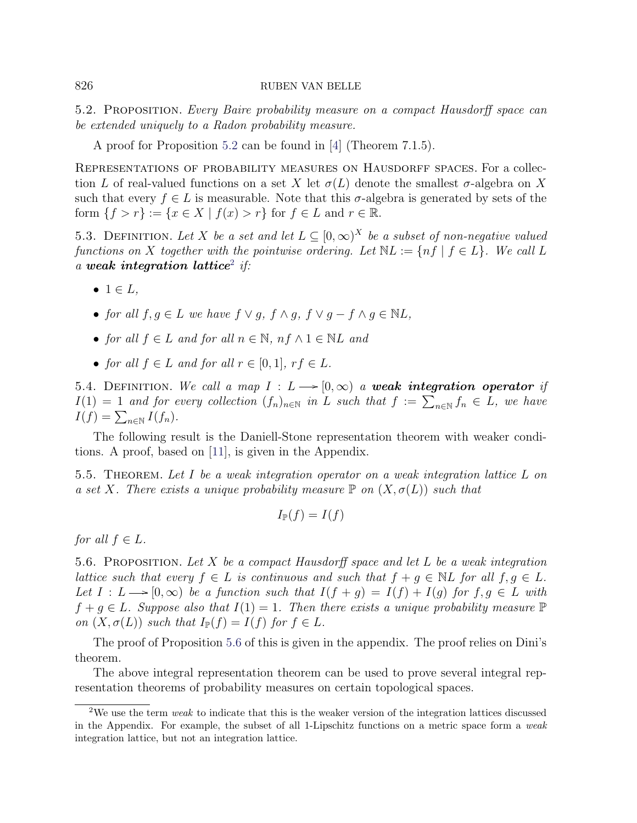<span id="page-15-0"></span>5.2. Proposition. Every Baire probability measure on a compact Hausdorff space can be extended uniquely to a Radon probability measure.

A proof for Proposition [5.2](#page-15-0) can be found in [\[4\]](#page-30-9) (Theorem 7.1.5).

Representations of probability measures on Hausdorff spaces. For a collection L of real-valued functions on a set X let  $\sigma(L)$  denote the smallest  $\sigma$ -algebra on X such that every  $f \in L$  is measurable. Note that this  $\sigma$ -algebra is generated by sets of the form  $\{f > r\} := \{x \in X \mid f(x) > r\}$  for  $f \in L$  and  $r \in \mathbb{R}$ .

5.3. DEFINITION. Let X be a set and let  $L \subseteq [0,\infty)^X$  be a subset of non-negative valued functions on X together with the pointwise ordering. Let  $NL := \{ nf \mid f \in L \}$ . We call L a weak integration lattice<sup>[2](#page-15-1)</sup> if:

- $\bullet$  1  $\in$  L,
- for all  $f, g \in L$  we have  $f \vee g$ ,  $f \wedge g$ ,  $f \vee g f \wedge g \in NL$ ,
- for all  $f \in L$  and for all  $n \in \mathbb{N}$ ,  $nf \wedge 1 \in \mathbb{N}L$  and
- for all  $f \in L$  and for all  $r \in [0,1]$ ,  $rf \in L$ .

5.4. DEFINITION. We call a map  $I : L \rightarrow [0,\infty)$  a weak integration operator if  $I(1) = 1$  and for every collection  $(f_n)_{n \in \mathbb{N}}$  in L such that  $f := \sum_{n \in \mathbb{N}} f_n \in L$ , we have  $I(f) = \sum_{n \in \mathbb{N}} I(f_n).$ 

The following result is the Daniell-Stone representation theorem with weaker conditions. A proof, based on [\[11\]](#page-31-6), is given in the Appendix.

<span id="page-15-3"></span>5.5. Theorem. Let I be a weak integration operator on a weak integration lattice L on a set X. There exists a unique probability measure  $\mathbb P$  on  $(X, \sigma(L))$  such that

$$
I_{\mathbb{P}}(f) = I(f)
$$

for all  $f \in L$ .

<span id="page-15-2"></span>5.6. PROPOSITION. Let X be a compact Hausdorff space and let L be a weak integration lattice such that every  $f \in L$  is continuous and such that  $f + g \in NL$  for all  $f, g \in L$ . Let  $I : L \longrightarrow [0, \infty)$  be a function such that  $I(f + g) = I(f) + I(g)$  for  $f, g \in L$  with  $f + q \in L$ . Suppose also that  $I(1) = 1$ . Then there exists a unique probability measure  $\mathbb P$ on  $(X, \sigma(L))$  such that  $I_{\mathbb{P}}(f) = I(f)$  for  $f \in L$ .

The proof of Proposition [5.6](#page-15-2) of this is given in the appendix. The proof relies on Dini's theorem.

The above integral representation theorem can be used to prove several integral representation theorems of probability measures on certain topological spaces.

<span id="page-15-1"></span><sup>&</sup>lt;sup>2</sup>We use the term *weak* to indicate that this is the weaker version of the integration lattices discussed in the Appendix. For example, the subset of all 1-Lipschitz functions on a metric space form a weak integration lattice, but not an integration lattice.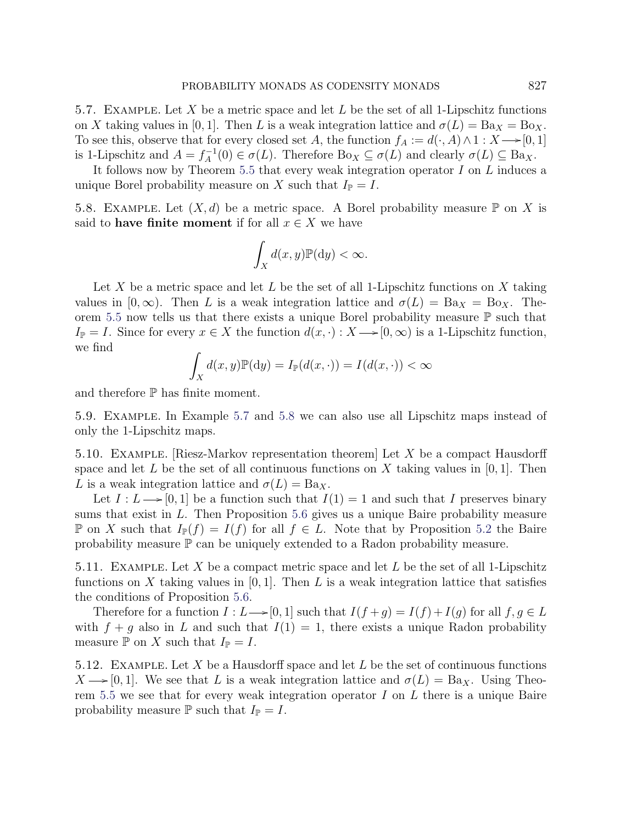<span id="page-16-0"></span>5.7. EXAMPLE. Let X be a metric space and let L be the set of all 1-Lipschitz functions on X taking values in [0, 1]. Then L is a weak integration lattice and  $\sigma(L) = Ba_X = Bo_X$ . To see this, observe that for every closed set A, the function  $f_A := d(\cdot, A) \wedge 1 : X \longrightarrow [0, 1]$ is 1-Lipschitz and  $A = f_A^{-1}$  $\sigma_A^{-1}(0) \in \sigma(L)$ . Therefore  $Bo_X \subseteq \sigma(L)$  and clearly  $\sigma(L) \subseteq Ba_X$ .

It follows now by Theorem [5.5](#page-15-3) that every weak integration operator  $I$  on  $L$  induces a unique Borel probability measure on X such that  $I_{\mathbb{P}} = I$ .

<span id="page-16-1"></span>5.8. EXAMPLE. Let  $(X, d)$  be a metric space. A Borel probability measure  $\mathbb P$  on X is said to **have finite moment** if for all  $x \in X$  we have

$$
\int_X d(x, y) \mathbb{P}(\mathrm{d}y) < \infty.
$$

Let X be a metric space and let L be the set of all 1-Lipschitz functions on X taking values in  $[0,\infty)$ . Then L is a weak integration lattice and  $\sigma(L) = Ba_X = Bo_X$ . The-orem [5.5](#page-15-3) now tells us that there exists a unique Borel probability measure  $\mathbb P$  such that  $I_{\mathbb{P}} = I$ . Since for every  $x \in X$  the function  $d(x, \cdot) : X \longrightarrow [0, \infty)$  is a 1-Lipschitz function, we find

$$
\int_X d(x, y) \mathbb{P}(\mathrm{d}y) = I_{\mathbb{P}}(d(x, \cdot)) = I(d(x, \cdot)) < \infty
$$

and therefore  $\mathbb P$  has finite moment.

5.9. Example. In Example [5.7](#page-16-0) and [5.8](#page-16-1) we can also use all Lipschitz maps instead of only the 1-Lipschitz maps.

<span id="page-16-2"></span>5.10. Example. [Riesz-Markov representation theorem] Let X be a compact Hausdorff space and let L be the set of all continuous functions on X taking values in  $[0, 1]$ . Then L is a weak integration lattice and  $\sigma(L) = Ba_X$ .

Let  $I : L \longrightarrow [0, 1]$  be a function such that  $I(1) = 1$  and such that I preserves binary sums that exist in L. Then Proposition [5.6](#page-15-2) gives us a unique Baire probability measure **P** on X such that  $I_{\mathbb{P}}(f) = I(f)$  for all  $f \in L$ . Note that by Proposition [5.2](#page-15-0) the Baire probability measure P can be uniquely extended to a Radon probability measure.

<span id="page-16-3"></span>5.11. EXAMPLE. Let X be a compact metric space and let L be the set of all 1-Lipschitz functions on X taking values in  $[0, 1]$ . Then L is a weak integration lattice that satisfies the conditions of Proposition [5.6.](#page-15-2)

Therefore for a function  $I : L \longrightarrow [0, 1]$  such that  $I(f + g) = I(f) + I(g)$  for all  $f, g \in L$ with  $f + g$  also in L and such that  $I(1) = 1$ , there exists a unique Radon probability measure  $\mathbb P$  on X such that  $I_{\mathbb P}=I$ .

<span id="page-16-4"></span>5.12. EXAMPLE. Let X be a Hausdorff space and let L be the set of continuous functions  $X \longrightarrow [0, 1]$ . We see that L is a weak integration lattice and  $\sigma(L) = Ba_X$ . Using Theo-rem [5.5](#page-15-3) we see that for every weak integration operator  $I$  on  $L$  there is a unique Baire probability measure  $\mathbb P$  such that  $I_{\mathbb P} = I$ .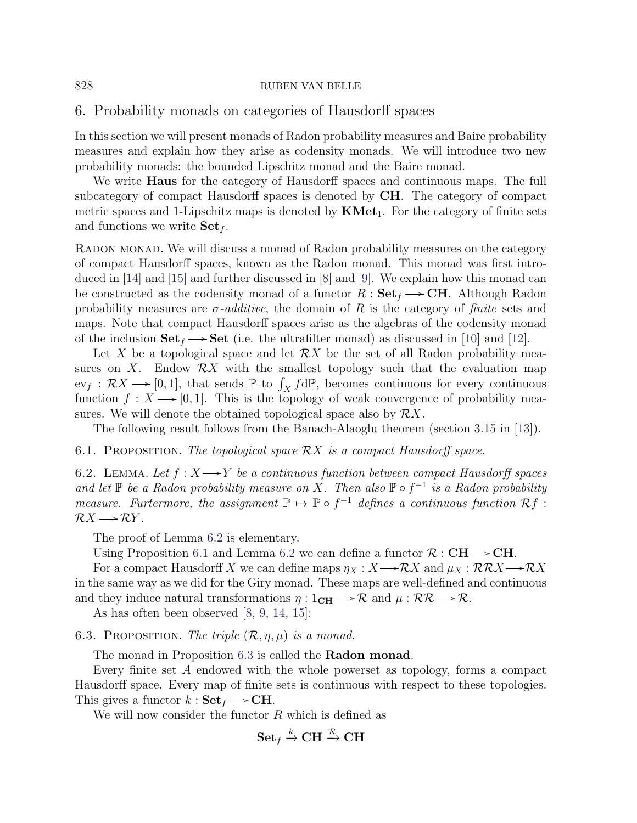## <span id="page-17-0"></span>6. Probability monads on categories of Hausdorff spaces

In this section we will present monads of Radon probability measures and Baire probability measures and explain how they arise as codensity monads. We will introduce two new probability monads: the bounded Lipschitz monad and the Baire monad.

We write **Haus** for the category of Hausdorff spaces and continuous maps. The full subcategory of compact Hausdorff spaces is denoted by CH. The category of compact metric spaces and 1-Lipschitz maps is denoted by  $KMet_1$ . For the category of finite sets and functions we write  $\textbf{Set}_f$ .

Radon monad. We will discuss a monad of Radon probability measures on the category of compact Hausdorff spaces, known as the Radon monad. This monad was first introduced in [\[14\]](#page-31-1) and [\[15\]](#page-31-2) and further discussed in [\[8\]](#page-30-2) and [\[9\]](#page-30-4). We explain how this monad can be constructed as the codensity monad of a functor  $R : \mathbf{Set}_f \longrightarrow \mathbf{CH}$ . Although Radon probability measures are  $\sigma$ -additive, the domain of R is the category of finite sets and maps. Note that compact Hausdorff spaces arise as the algebras of the codensity monad of the inclusion  $\textbf{Set}_f \longrightarrow \textbf{Set}$  (i.e. the ultrafilter monad) as discussed in [\[10\]](#page-31-4) and [\[12\]](#page-31-0).

Let X be a topological space and let  $\mathcal{R}X$  be the set of all Radon probability measures on X. Endow  $\mathcal{R}X$  with the smallest topology such that the evaluation map  $ev_f : \mathcal{R}X \longrightarrow [0, 1],$  that sends  $\mathbb P$  to  $\int_X f d\mathbb P$ , becomes continuous for every continuous function  $f: X \longrightarrow [0, 1]$ . This is the topology of weak convergence of probability measures. We will denote the obtained topological space also by  $\mathcal{R}X$ .

The following result follows from the Banach-Alaoglu theorem (section 3.15 in [\[13\]](#page-31-7)).

<span id="page-17-2"></span>6.1. PROPOSITION. The topological space  $\mathcal{R}X$  is a compact Hausdorff space.

<span id="page-17-1"></span>6.2. LEMMA. Let  $f: X \longrightarrow Y$  be a continuous function between compact Hausdorff spaces and let  $\mathbb P$  be a Radon probability measure on X. Then also  $\mathbb P \circ f^{-1}$  is a Radon probability measure. Furtermore, the assignment  $\mathbb{P} \mapsto \mathbb{P} \circ f^{-1}$  defines a continuous function  $\mathcal{R} f$ :  $\mathcal{R}X \longrightarrow \mathcal{R}Y$ .

The proof of Lemma [6.2](#page-17-1) is elementary.

Using Proposition [6.1](#page-17-2) and Lemma [6.2](#page-17-1) we can define a functor  $\mathcal{R}: \mathbf{CH} \longrightarrow \mathbf{CH}$ .

For a compact Hausdorff X we can define maps  $\eta_X : X \longrightarrow \mathcal{R} X$  and  $\mu_X : \mathcal{R}\mathcal{R} X \longrightarrow \mathcal{R} X$ in the same way as we did for the Giry monad. These maps are well-defined and continuous and they induce natural transformations  $\eta: 1_{\text{CH}} \longrightarrow \mathcal{R}$  and  $\mu: \mathcal{RR} \longrightarrow \mathcal{R}$ .

As has often been observed [\[8,](#page-30-2) [9,](#page-30-4) [14,](#page-31-1) [15\]](#page-31-2):

<span id="page-17-3"></span>6.3. PROPOSITION. The triple  $(\mathcal{R}, \eta, \mu)$  is a monad.

The monad in Proposition [6.3](#page-17-3) is called the **Radon monad**.

Every finite set A endowed with the whole powerset as topology, forms a compact Hausdorff space. Every map of finite sets is continuous with respect to these topologies. This gives a functor  $k : \mathbf{Set}_f \longrightarrow \mathbf{CH}$ .

We will now consider the functor  $R$  which is defined as

$$
\mathbf{Set}_f \stackrel{k}{\to} \mathbf{CH} \stackrel{\mathcal{R}}{\to} \mathbf{CH}
$$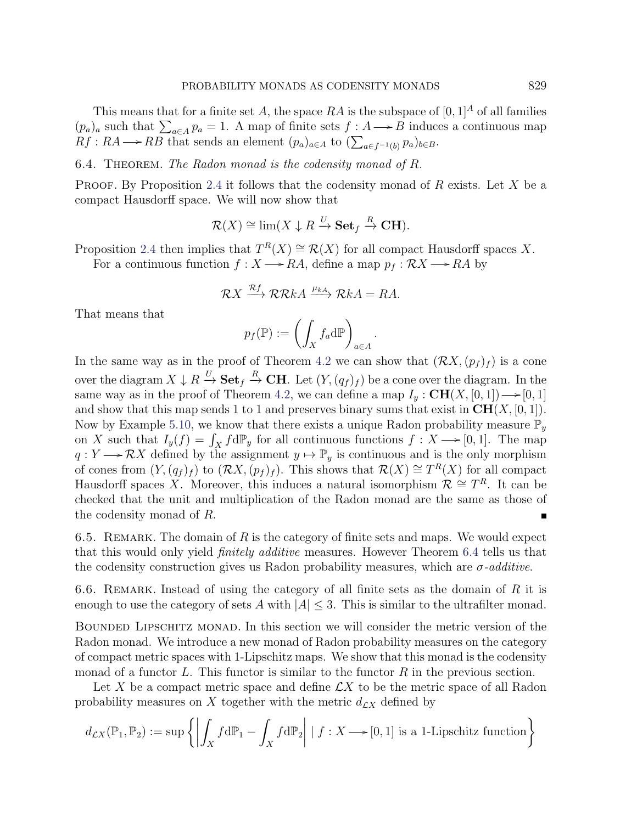This means that for a finite set A, the space RA is the subspace of  $[0, 1]^A$  of all families  $(p_a)_a$  such that  $\sum_{a \in A} p_a = 1$ . A map of finite sets  $f : A \longrightarrow B$  induces a continuous map  $Rf: RA \longrightarrow RB$  that sends an element  $(p_a)_{a \in A}$  to  $(\sum_{a \in f^{-1}(b)} p_a)_{b \in B}$ .

## <span id="page-18-0"></span>6.4. THEOREM. The Radon monad is the codensity monad of R.

**PROOF.** By Proposition [2.4](#page-3-1) it follows that the codensity monad of  $R$  exists. Let  $X$  be a compact Hausdorff space. We will now show that

$$
\mathcal{R}(X) \cong \lim(X \downarrow R \xrightarrow{U} \mathbf{Set}_f \xrightarrow{R} \mathbf{CH}).
$$

Proposition [2.4](#page-3-1) then implies that  $T^R(X) \cong \mathcal{R}(X)$  for all compact Hausdorff spaces X.

For a continuous function  $f : X \longrightarrow RA$ , define a map  $p_f : \mathcal{R}X \longrightarrow RA$  by

$$
\mathcal{R}X \xrightarrow{\mathcal{R}f} \mathcal{R}\mathcal{R}kA \xrightarrow{\mu_{kA}} \mathcal{R}kA = RA.
$$

That means that

$$
p_f(\mathbb{P}) := \left(\int_X f_a \mathrm{d}\mathbb{P}\right)_{a \in A}
$$

.

In the same way as in the proof of Theorem [4.2](#page-10-0) we can show that  $(\mathcal{R}X,(p_f)_f)$  is a cone over the diagram  $X \downarrow R \stackrel{U}{\to} \mathbf{Set}_f \stackrel{R}{\to} \mathbf{CH}$ . Let  $(Y, (q_f)_f)$  be a cone over the diagram. In the same way as in the proof of Theorem [4.2,](#page-10-0) we can define a map  $I_y : \mathbf{CH}(X, [0, 1]) \longrightarrow [0, 1]$ and show that this map sends 1 to 1 and preserves binary sums that exist in  $CH(X, [0, 1])$ . Now by Example [5.10,](#page-16-2) we know that there exists a unique Radon probability measure  $\mathbb{P}_y$ on X such that  $I_y(f) = \int_X f d\mathbb{P}_y$  for all continuous functions  $f: X \longrightarrow [0, 1]$ . The map  $q: Y \longrightarrow \mathcal{R}X$  defined by the assignment  $y \mapsto \mathbb{P}_y$  is continuous and is the only morphism of cones from  $(Y, (q_f)_f)$  to  $(\mathcal{R}X, (p_f)_f)$ . This shows that  $\mathcal{R}(X) \cong T^R(X)$  for all compact Hausdorff spaces X. Moreover, this induces a natural isomorphism  $\mathcal{R} \cong T^R$ . It can be checked that the unit and multiplication of the Radon monad are the same as those of the codensity monad of R.

6.5. REMARK. The domain of  $R$  is the category of finite sets and maps. We would expect that this would only yield finitely additive measures. However Theorem [6.4](#page-18-0) tells us that the codensity construction gives us Radon probability measures, which are  $\sigma$ -additive.

6.6. REMARK. Instead of using the category of all finite sets as the domain of  $R$  it is enough to use the category of sets A with  $|A| \leq 3$ . This is similar to the ultrafilter monad.

Bounded Lipschitz monad. In this section we will consider the metric version of the Radon monad. We introduce a new monad of Radon probability measures on the category of compact metric spaces with 1-Lipschitz maps. We show that this monad is the codensity monad of a functor L. This functor is similar to the functor  $R$  in the previous section.

Let X be a compact metric space and define  $\mathcal{L}X$  to be the metric space of all Radon probability measures on X together with the metric  $d_{\mathcal{L}X}$  defined by

$$
d_{\mathcal{L}X}(\mathbb{P}_1, \mathbb{P}_2) := \sup \left\{ \left| \int_X f \, d\mathbb{P}_1 - \int_X f \, d\mathbb{P}_2 \right| \mid f : X \longrightarrow [0, 1] \text{ is a 1-Lipschitz function} \right\}
$$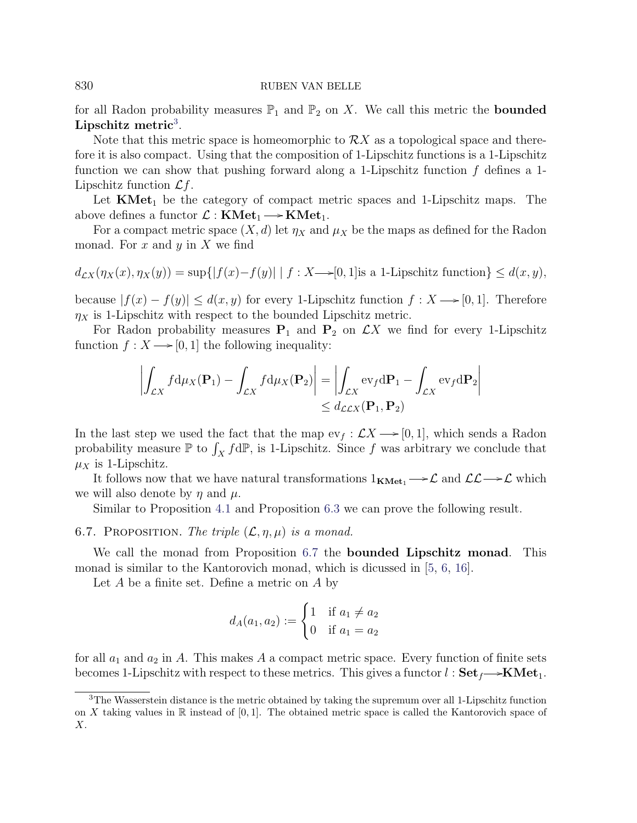for all Radon probability measures  $\mathbb{P}_1$  and  $\mathbb{P}_2$  on X. We call this metric the **bounded** Lipschitz metric<sup>[3](#page-19-0)</sup>.

Note that this metric space is homeomorphic to  $\mathcal{R}X$  as a topological space and therefore it is also compact. Using that the composition of 1-Lipschitz functions is a 1-Lipschitz function we can show that pushing forward along a 1-Lipschitz function  $f$  defines a 1-Lipschitz function  $\mathcal{L}f$ .

Let  $KMet_1$  be the category of compact metric spaces and 1-Lipschitz maps. The above defines a functor  $\mathcal{L} : KMet_1 \longrightarrow KMet_1$ .

For a compact metric space  $(X, d)$  let  $\eta_X$  and  $\mu_X$  be the maps as defined for the Radon monad. For  $x$  and  $y$  in  $X$  we find

$$
d_{\mathcal{L}X}(\eta_X(x), \eta_X(y)) = \sup\{|f(x) - f(y)| \mid f : X \longrightarrow [0, 1] \text{ is a 1-Lipschitz function}\} \le d(x, y),
$$

because  $|f(x) - f(y)| \leq d(x, y)$  for every 1-Lipschitz function  $f: X \rightarrow [0, 1]$ . Therefore  $\eta_X$  is 1-Lipschitz with respect to the bounded Lipschitz metric.

For Radon probability measures  $P_1$  and  $P_2$  on  $\mathcal{L}X$  we find for every 1-Lipschitz function  $f: X \longrightarrow [0, 1]$  the following inequality:

$$
\left| \int_{\mathcal{L}X} f d\mu_X(\mathbf{P}_1) - \int_{\mathcal{L}X} f d\mu_X(\mathbf{P}_2) \right| = \left| \int_{\mathcal{L}X} \text{ev}_f d\mathbf{P}_1 - \int_{\mathcal{L}X} \text{ev}_f d\mathbf{P}_2 \right|
$$
  
\$\leq d\_{\mathcal{L}EX}(\mathbf{P}\_1, \mathbf{P}\_2)\$

In the last step we used the fact that the map  $ev_f : \mathcal{L}X \longrightarrow [0, 1]$ , which sends a Radon probability measure  $\mathbb P$  to  $\int_X f d\mathbb P$ , is 1-Lipschitz. Since f was arbitrary we conclude that  $\mu_X$  is 1-Lipschitz.

It follows now that we have natural transformations  $1_{KMet_1} \rightarrow \mathcal{L}$  and  $\mathcal{LL} \rightarrow \mathcal{L}$  which we will also denote by  $\eta$  and  $\mu$ .

Similar to Proposition [4.1](#page-9-0) and Proposition [6.3](#page-17-3) we can prove the following result.

## <span id="page-19-1"></span>6.7. PROPOSITION. The triple  $(\mathcal{L}, \eta, \mu)$  is a monad.

We call the monad from Proposition [6.7](#page-19-1) the **bounded Lipschitz monad**. This monad is similar to the Kantorovich monad, which is dicussed in [\[5,](#page-30-5) [6,](#page-30-6) [16\]](#page-31-3).

Let  $A$  be a finite set. Define a metric on  $A$  by

$$
d_A(a_1, a_2) := \begin{cases} 1 & \text{if } a_1 \neq a_2 \\ 0 & \text{if } a_1 = a_2 \end{cases}
$$

for all  $a_1$  and  $a_2$  in A. This makes A a compact metric space. Every function of finite sets becomes 1-Lipschitz with respect to these metrics. This gives a functor  $l : Set_f \rightarrow KMet_1$ .

<span id="page-19-0"></span><sup>3</sup>The Wasserstein distance is the metric obtained by taking the supremum over all 1-Lipschitz function on X taking values in  $\mathbb R$  instead of [0,1]. The obtained metric space is called the Kantorovich space of X.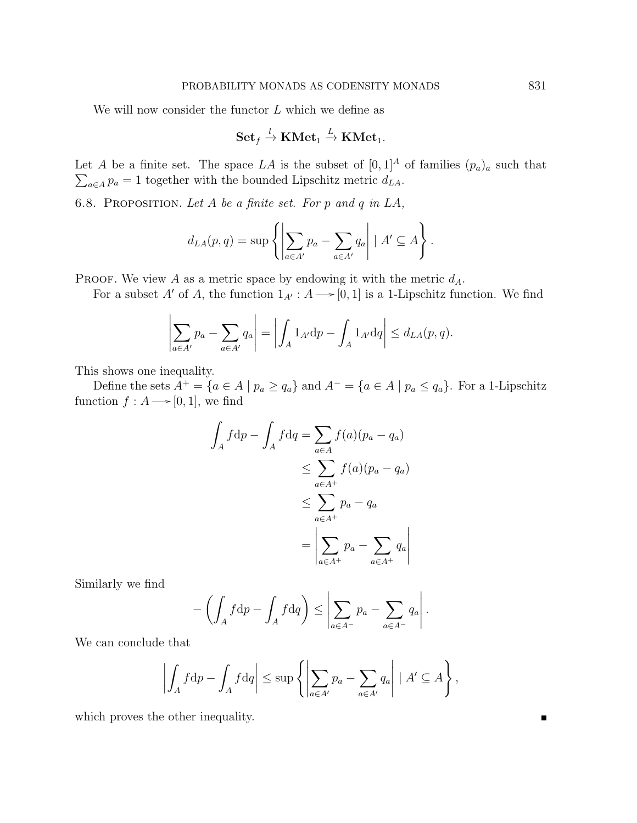We will now consider the functor  $L$  which we define as

$$
\mathbf{Set}_f \xrightarrow{l} \mathbf{KMet}_1 \xrightarrow{L} \mathbf{KMet}_1.
$$

Let A be a finite set. The space LA is the subset of  $[0,1]^A$  of families  $(p_a)_a$  such that  $\sum_{a \in A} p_a = 1$  together with the bounded Lipschitz metric  $d_{LA}$ .

6.8. PROPOSITION. Let A be a finite set. For p and q in  $LA$ ,

$$
d_{LA}(p,q) = \sup \left\{ \left| \sum_{a \in A'} p_a - \sum_{a \in A'} q_a \right| \mid A' \subseteq A \right\}.
$$

PROOF. We view  $A$  as a metric space by endowing it with the metric  $d_A$ .

For a subset A' of A, the function  $1_{A'} : A \longrightarrow [0, 1]$  is a 1-Lipschitz function. We find

$$
\left|\sum_{a\in A'} p_a - \sum_{a\in A'} q_a\right| = \left|\int_A 1_{A'} dp - \int_A 1_{A'} dq\right| \leq d_{LA}(p, q).
$$

This shows one inequality.

Define the sets  $A^+ = \{a \in A \mid p_a \ge q_a\}$  and  $A^- = \{a \in A \mid p_a \le q_a\}$ . For a 1-Lipschitz function  $f : A \longrightarrow [0, 1]$ , we find

$$
\int_A f \, \mathrm{d}p - \int_A f \, \mathrm{d}q = \sum_{a \in A} f(a)(p_a - q_a)
$$
\n
$$
\leq \sum_{a \in A^+} f(a)(p_a - q_a)
$$
\n
$$
\leq \sum_{a \in A^+} p_a - q_a
$$
\n
$$
= \left| \sum_{a \in A^+} p_a - \sum_{a \in A^+} q_a \right|
$$

Similarly we find

$$
-\left(\int_A f\mathrm{d}p - \int_A f\mathrm{d}q\right) \le \left|\sum_{a\in A^-} p_a - \sum_{a\in A^-} q_a\right|.
$$

We can conclude that

$$
\left| \int_A f \mathrm{d}p - \int_A f \mathrm{d}q \right| \leq \sup \left\{ \left| \sum_{a \in A'} p_a - \sum_{a \in A'} q_a \right| \mid A' \subseteq A \right\},\
$$

which proves the other inequality.

Г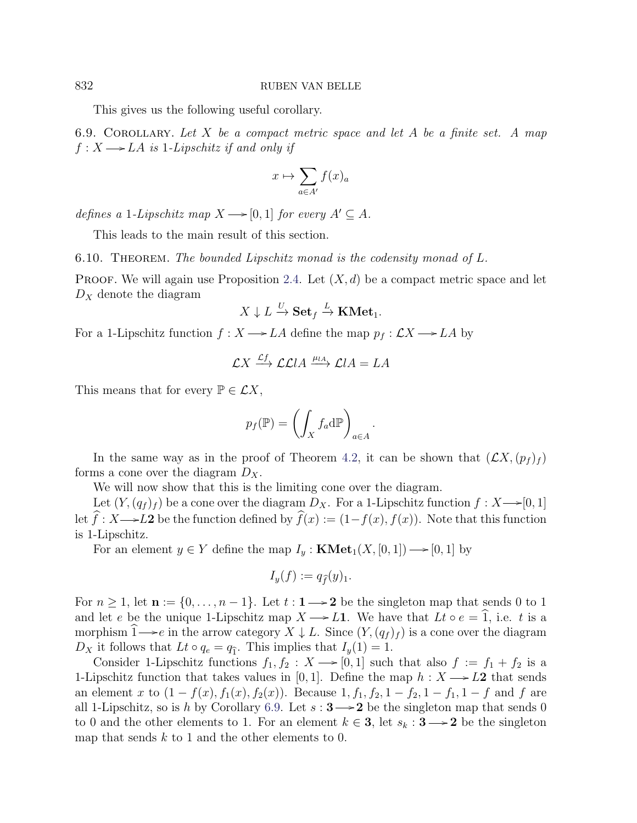This gives us the following useful corollary.

<span id="page-21-1"></span>6.9. COROLLARY. Let  $X$  be a compact metric space and let  $A$  be a finite set. A map  $f: X \longrightarrow LA$  is 1-Lipschitz if and only if

$$
x \mapsto \sum_{a \in A'} f(x)_a
$$

defines a 1-Lipschitz map  $X \longrightarrow [0, 1]$  for every  $A' \subseteq A$ .

This leads to the main result of this section.

<span id="page-21-0"></span>6.10. THEOREM. The bounded Lipschitz monad is the codensity monad of L.

**PROOF.** We will again use Proposition [2.4.](#page-3-1) Let  $(X, d)$  be a compact metric space and let  $D_X$  denote the diagram

$$
X \downarrow L \xrightarrow{U} \mathbf{Set}_f \xrightarrow{L} \mathbf{KMet}_1.
$$

For a 1-Lipschitz function  $f : X \longrightarrow LA$  define the map  $p_f : \mathcal{L}X \longrightarrow LA$  by

$$
\mathcal{L}X \xrightarrow{\mathcal{L}f} \mathcal{L}\mathcal{L}lA \xrightarrow{\mu_{lA}} \mathcal{L}lA = LA
$$

This means that for every  $\mathbb{P} \in \mathcal{L}X$ ,

$$
p_f(\mathbb{P}) = \left(\int_X f_a d\mathbb{P}\right)_{a \in A}.
$$

In the same way as in the proof of Theorem [4.2,](#page-10-0) it can be shown that  $(\mathcal{L}X,(p_f)_f)$ forms a cone over the diagram  $D_X$ .

We will now show that this is the limiting cone over the diagram.

Let  $(Y,(q_f)_f)$  be a cone over the diagram  $D_X$ . For a 1-Lipschitz function  $f: X \rightarrow [0,1]$ let  $\hat{f}: X \longrightarrow L2$  be the function defined by  $\hat{f}(x) := (1-f(x), f(x))$ . Note that this function is 1-Lipschitz.

For an element  $y \in Y$  define the map  $I_y : KMet_1(X, [0, 1]) \longrightarrow [0, 1]$  by

$$
I_y(f) := q_{\widehat{f}}(y)_1.
$$

For  $n \geq 1$ , let  $\mathbf{n} := \{0, \ldots, n-1\}$ . Let  $t : \mathbf{1} \longrightarrow \mathbf{2}$  be the singleton map that sends 0 to 1 and let e be the unique 1-Lipschitz map  $X \rightarrow L1$ . We have that  $Lt \circ e = \hat{1}$ , i.e. t is a morphism  $1 \rightarrow e$  in the arrow category  $X \downarrow L$ . Since  $(Y, (q_f)_f)$  is a cone over the diagram  $D_X$  it follows that  $Lt \circ q_e = q_{\hat{1}}$ . This implies that  $I_y(1) = 1$ .

Consider 1-Lipschitz functions  $f_1, f_2 : X \longrightarrow [0, 1]$  such that also  $f := f_1 + f_2$  is a 1-Lipschitz function that takes values in [0, 1]. Define the map  $h : X \rightarrow L2$  that sends an element x to  $(1 - f(x), f_1(x), f_2(x))$ . Because  $1, f_1, f_2, 1 - f_2, 1 - f_1, 1 - f$  and f are all 1-Lipschitz, so is h by Corollary [6.9.](#page-21-1) Let  $s: 3 \rightarrow 2$  be the singleton map that sends 0 to 0 and the other elements to 1. For an element  $k \in \mathbf{3}$ , let  $s_k : \mathbf{3} \longrightarrow \mathbf{2}$  be the singleton map that sends  $k$  to 1 and the other elements to 0.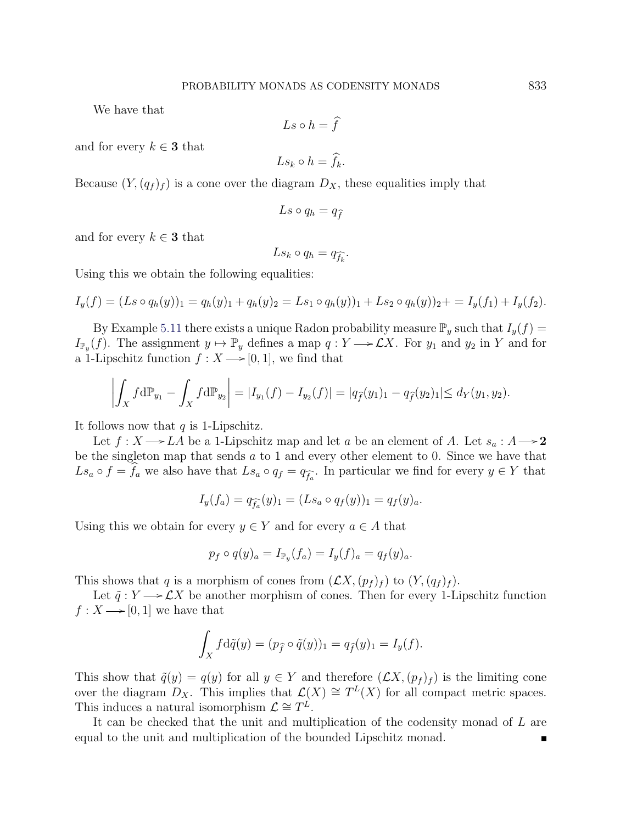We have that

$$
Ls \circ h = \hat{f}
$$

and for every  $k \in \mathbf{3}$  that

$$
Ls_k \circ h = \widehat{f}_k.
$$

Because  $(Y,(q_f)_f)$  is a cone over the diagram  $D_X$ , these equalities imply that

$$
Ls \circ q_h = q_{\widehat{f}}
$$

and for every  $k \in \mathbf{3}$  that

$$
Ls_k\circ q_h=q_{\widehat{f_k}}.
$$

Using this we obtain the following equalities:

$$
I_y(f) = (Ls \circ q_h(y))_1 = q_h(y)_1 + q_h(y)_2 = Ls_1 \circ q_h(y)_1 + Ls_2 \circ q_h(y)_2 + = I_y(f_1) + I_y(f_2).
$$

By Example [5.11](#page-16-3) there exists a unique Radon probability measure  $\mathbb{P}_y$  such that  $I_y(f)$  =  $I_{\mathbb{P}_y}(f)$ . The assignment  $y \mapsto \mathbb{P}_y$  defines a map  $q: Y \longrightarrow \mathcal{L}X$ . For  $y_1$  and  $y_2$  in Y and for a 1-Lipschitz function  $f: X \longrightarrow [0, 1]$ , we find that

$$
\left| \int_X f d\mathbb{P}_{y_1} - \int_X f d\mathbb{P}_{y_2} \right| = |I_{y_1}(f) - I_{y_2}(f)| = |q_{\hat{f}}(y_1)| - q_{\hat{f}}(y_2)| \le d_Y(y_1, y_2).
$$

It follows now that  $q$  is 1-Lipschitz.

Let  $f: X \longrightarrow LA$  be a 1-Lipschitz map and let a be an element of A. Let  $s_a : A \longrightarrow 2$ be the singleton map that sends a to 1 and every other element to 0. Since we have that  $Ls_a \circ f = f_a$  we also have that  $Ls_a \circ q_f = q_{\widehat{f_a}}$ . In particular we find for every  $y \in Y$  that

$$
I_y(f_a) = q_{\widehat{f_a}}(y)_1 = (Ls_a \circ q_f(y))_1 = q_f(y)_a.
$$

Using this we obtain for every  $y \in Y$  and for every  $a \in A$  that

$$
p_f \circ q(y)_a = I_{\mathbb{P}_y}(f_a) = I_y(f)_a = q_f(y)_a.
$$

This shows that q is a morphism of cones from  $(\mathcal{L}X,(p_f)_f)$  to  $(Y,(q_f)_f)$ .

Let  $\tilde{q}: Y \longrightarrow \mathcal{L}X$  be another morphism of cones. Then for every 1-Lipschitz function  $f: X \longrightarrow [0, 1]$  we have that

$$
\int_X f d\tilde{q}(y) = (p_{\tilde{f}} \circ \tilde{q}(y))_1 = q_{\tilde{f}}(y)_1 = I_y(f).
$$

This show that  $\tilde{q}(y) = q(y)$  for all  $y \in Y$  and therefore  $(\mathcal{L}X,(p_f)_f)$  is the limiting cone over the diagram  $D_X$ . This implies that  $\mathcal{L}(X) \cong T^L(X)$  for all compact metric spaces. This induces a natural isomorphism  $\mathcal{L} \cong T^{\mathcal{L}}$ .

It can be checked that the unit and multiplication of the codensity monad of L are equal to the unit and multiplication of the bounded Lipschitz monad.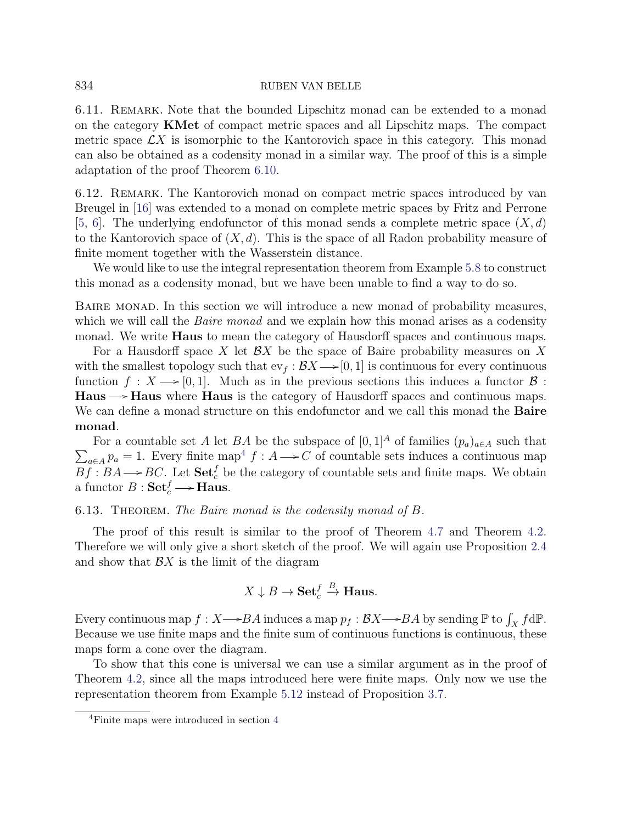6.11. Remark. Note that the bounded Lipschitz monad can be extended to a monad on the category KMet of compact metric spaces and all Lipschitz maps. The compact metric space  $\mathcal{L}X$  is isomorphic to the Kantorovich space in this category. This monad can also be obtained as a codensity monad in a similar way. The proof of this is a simple adaptation of the proof Theorem [6.10.](#page-21-0)

6.12. Remark. The Kantorovich monad on compact metric spaces introduced by van Breugel in [\[16\]](#page-31-3) was extended to a monad on complete metric spaces by Fritz and Perrone [\[5,](#page-30-5) [6\]](#page-30-6). The underlying endofunctor of this monad sends a complete metric space  $(X, d)$ to the Kantorovich space of  $(X, d)$ . This is the space of all Radon probability measure of finite moment together with the Wasserstein distance.

We would like to use the integral representation theorem from Example [5.8](#page-16-1) to construct this monad as a codensity monad, but we have been unable to find a way to do so.

Baire monad. In this section we will introduce a new monad of probability measures, which we will call the *Baire monad* and we explain how this monad arises as a codensity monad. We write **Haus** to mean the category of Hausdorff spaces and continuous maps.

For a Hausdorff space X let  $\mathcal{B}X$  be the space of Baire probability measures on X with the smallest topology such that  $ev_f : \mathcal{B}X \longrightarrow [0, 1]$  is continuous for every continuous function  $f : X \longrightarrow [0, 1]$ . Much as in the previous sections this induces a functor  $\mathcal{B}$ : **Haus**  $\rightarrow$  **Haus** where **Haus** is the category of Hausdorff spaces and continuous maps. We can define a monad structure on this endofunctor and we call this monad the **Baire** monad.

For a countable set A let BA be the subspace of  $[0,1]^A$  of families  $(p_a)_{a \in A}$  such that  $\sum_{a \in A} p_a = 1$ . Every finite map<sup>[4](#page-23-1)</sup>  $f : A \longrightarrow C$  of countable sets induces a continuous map  $Bf : BA \longrightarrow BC$ . Let  $\textbf{Set}_c^f$  be the category of countable sets and finite maps. We obtain a functor  $B: \mathbf{Set}_c^f \longrightarrow \mathbf{Haus}.$ 

#### <span id="page-23-0"></span>6.13. THEOREM. The Baire monad is the codensity monad of B.

The proof of this result is similar to the proof of Theorem [4.7](#page-14-1) and Theorem [4.2.](#page-10-0) Therefore we will only give a short sketch of the proof. We will again use Proposition [2.4](#page-3-1) and show that  $\mathcal{B}X$  is the limit of the diagram

$$
X \downarrow B \to \mathbf{Set}_c^f \xrightarrow{B} \mathbf{Haus}.
$$

Every continuous map  $f: X \rightarrow BA$  induces a map  $p_f : \mathcal{B}X \rightarrow BA$  by sending  $\mathbb{P}$  to  $\int_X f d\mathbb{P}$ . Because we use finite maps and the finite sum of continuous functions is continuous, these maps form a cone over the diagram.

To show that this cone is universal we can use a similar argument as in the proof of Theorem [4.2,](#page-10-0) since all the maps introduced here were finite maps. Only now we use the representation theorem from Example [5.12](#page-16-4) instead of Proposition [3.7.](#page-8-2)

<span id="page-23-1"></span><sup>4</sup>Finite maps were introduced in section [4](#page-8-0)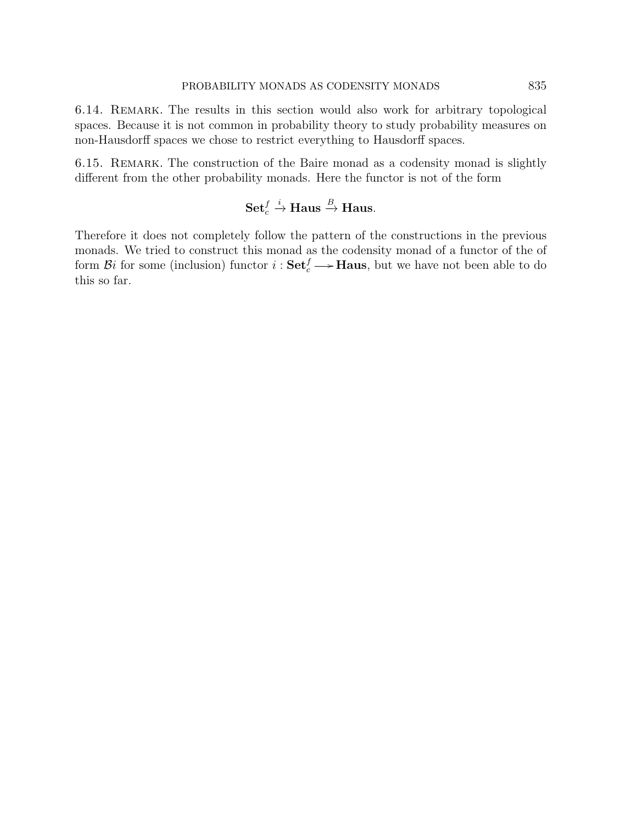6.14. Remark. The results in this section would also work for arbitrary topological spaces. Because it is not common in probability theory to study probability measures on non-Hausdorff spaces we chose to restrict everything to Hausdorff spaces.

6.15. Remark. The construction of the Baire monad as a codensity monad is slightly different from the other probability monads. Here the functor is not of the form

Set<sup>f</sup><sub>c</sub> 
$$
\xrightarrow{i}
$$
 Haus  $\xrightarrow{B}$  Haus.

Therefore it does not completely follow the pattern of the constructions in the previous monads. We tried to construct this monad as the codensity monad of a functor of the of form  $\mathcal{B}i$  for some (inclusion) functor  $i: \mathbf{Set}_c^f \longrightarrow \mathbf{Haus}$ , but we have not been able to do this so far.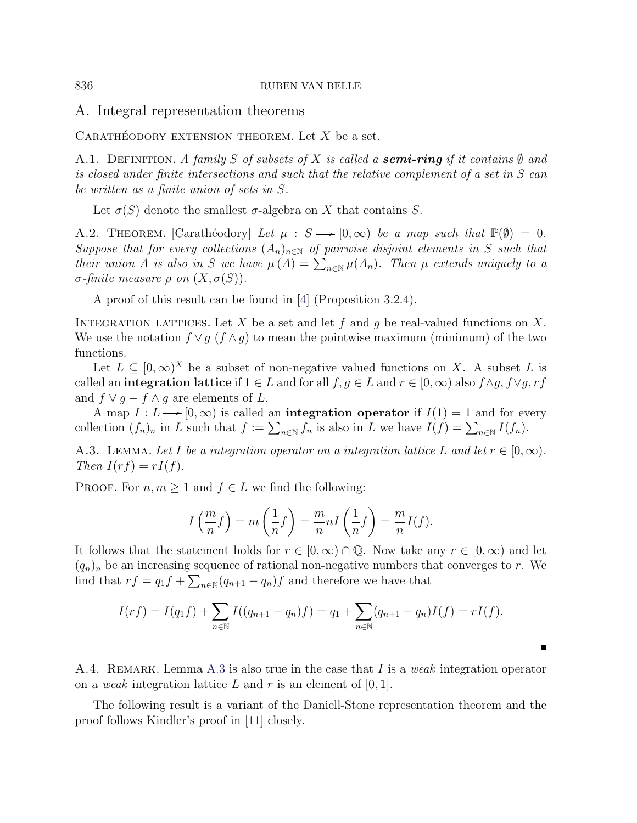<span id="page-25-0"></span>A. Integral representation theorems

CARATHÉODORY EXTENSION THEOREM. Let  $X$  be a set.

A.1. DEFINITION. A family S of subsets of X is called a **semi-ring** if it contains  $\emptyset$  and is closed under finite intersections and such that the relative complement of a set in S can be written as a finite union of sets in S.

Let  $\sigma(S)$  denote the smallest  $\sigma$ -algebra on X that contains S.

<span id="page-25-2"></span>A.2. THEOREM. [Carathéodory] Let  $\mu : S \longrightarrow [0,\infty)$  be a map such that  $\mathbb{P}(\emptyset) = 0$ . Suppose that for every collections  $(A_n)_{n\in\mathbb{N}}$  of pairwise disjoint elements in S such that their union A is also in S we have  $\mu(A) = \sum_{n \in \mathbb{N}} \mu(A_n)$ . Then  $\mu$  extends uniquely to a σ-finite measure ρ on (X, σ(S)).

A proof of this result can be found in [\[4\]](#page-30-9) (Proposition 3.2.4).

INTEGRATION LATTICES. Let X be a set and let f and g be real-valued functions on X. We use the notation  $f \vee q$  ( $f \wedge q$ ) to mean the pointwise maximum (minimum) of the two functions.

Let  $L \subseteq [0,\infty)^X$  be a subset of non-negative valued functions on X. A subset L is called an integration lattice if  $1 \in L$  and for all  $f, g \in L$  and  $r \in [0, \infty)$  also  $f \wedge g, f \vee g, rf$ and  $f \vee g - f \wedge g$  are elements of L.

A map  $I: L \longrightarrow [0, \infty)$  is called an **integration operator** if  $I(1) = 1$  and for every collection  $(f_n)_n$  in L such that  $f := \sum_{n \in \mathbb{N}} f_n$  is also in L we have  $I(f) = \sum_{n \in \mathbb{N}} I(f_n)$ .

<span id="page-25-1"></span>A.3. LEMMA. Let I be a integration operator on a integration lattice L and let  $r \in [0, \infty)$ . Then  $I(rf) = rI(f)$ .

PROOF. For  $n, m \geq 1$  and  $f \in L$  we find the following:

$$
I\left(\frac{m}{n}f\right) = m\left(\frac{1}{n}f\right) = \frac{m}{n}nI\left(\frac{1}{n}f\right) = \frac{m}{n}I(f).
$$

It follows that the statement holds for  $r \in [0,\infty) \cap \mathbb{Q}$ . Now take any  $r \in [0,\infty)$  and let  $(q_n)_n$  be an increasing sequence of rational non-negative numbers that converges to r. We find that  $rf = q_1 f + \sum_{n \in \mathbb{N}} (q_{n+1} - q_n) f$  and therefore we have that

$$
I(rf) = I(q_1f) + \sum_{n \in \mathbb{N}} I((q_{n+1} - q_n)f) = q_1 + \sum_{n \in \mathbb{N}} (q_{n+1} - q_n)I(f) = rI(f).
$$

<span id="page-25-3"></span>A.4. REMARK. Lemma [A.3](#page-25-1) is also true in the case that I is a weak integration operator on a weak integration lattice L and r is an element of  $[0, 1]$ .

The following result is a variant of the Daniell-Stone representation theorem and the proof follows Kindler's proof in [\[11\]](#page-31-6) closely.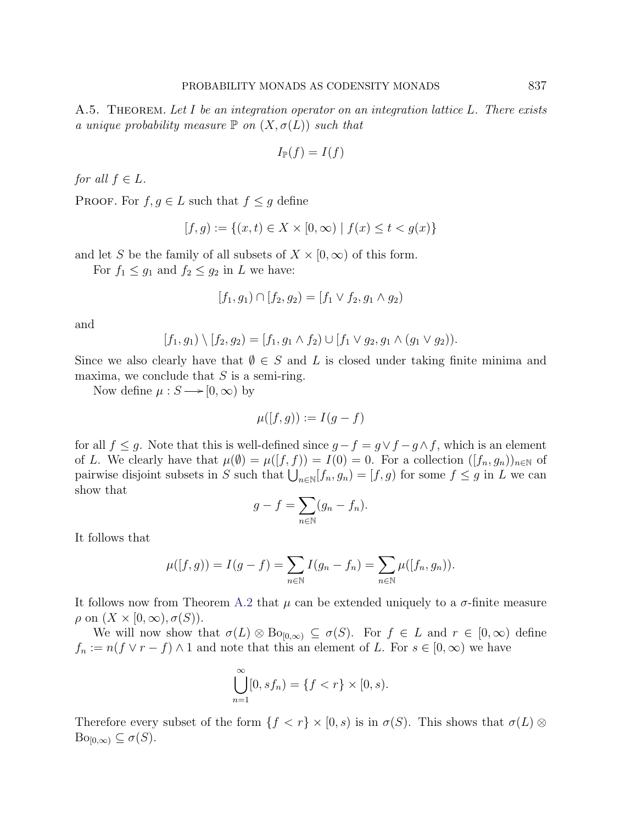<span id="page-26-0"></span>A.5. THEOREM. Let I be an integration operator on an integration lattice L. There exists a unique probability measure  $\mathbb P$  on  $(X, \sigma(L))$  such that

$$
I_{\mathbb{P}}(f) = I(f)
$$

for all  $f \in L$ .

PROOF. For  $f, g \in L$  such that  $f \leq g$  define

$$
[f, g) := \{(x, t) \in X \times [0, \infty) \mid f(x) \le t < g(x)\}
$$

and let S be the family of all subsets of  $X \times [0,\infty)$  of this form.

For  $f_1 \leq g_1$  and  $f_2 \leq g_2$  in L we have:

$$
[f_1, g_1) \cap [f_2, g_2] = [f_1 \vee f_2, g_1 \wedge g_2)
$$

and

$$
[f_1,g_1)\setminus [f_2,g_2]=[f_1,g_1\wedge f_2)\cup [f_1\vee g_2,g_1\wedge (g_1\vee g_2)).
$$

Since we also clearly have that  $\emptyset \in S$  and L is closed under taking finite minima and maxima, we conclude that  $S$  is a semi-ring.

Now define  $\mu : S \longrightarrow [0, \infty)$  by

$$
\mu([f,g)) := I(g - f)
$$

for all  $f \leq g$ . Note that this is well-defined since  $g - f = g \vee f - g \wedge f$ , which is an element of L. We clearly have that  $\mu(\emptyset) = \mu([f, f)) = I(0) = 0$ . For a collection  $([f_n, g_n))_{n \in \mathbb{N}}$  of pairwise disjoint subsets in S such that  $\bigcup_{n\in\mathbb{N}}[f_n, g_n] = [f, g]$  for some  $f \leq g$  in L we can show that

$$
g - f = \sum_{n \in \mathbb{N}} (g_n - f_n).
$$

It follows that

$$
\mu([f,g)) = I(g - f) = \sum_{n \in \mathbb{N}} I(g_n - f_n) = \sum_{n \in \mathbb{N}} \mu([f_n, g_n]).
$$

It follows now from Theorem [A.2](#page-25-2) that  $\mu$  can be extended uniquely to a  $\sigma$ -finite measure  $\rho$  on  $(X \times [0,\infty), \sigma(S)).$ 

We will now show that  $\sigma(L) \otimes \text{Bo}_{[0,\infty)} \subseteq \sigma(S)$ . For  $f \in L$  and  $r \in [0,\infty)$  define  $f_n := n(f \vee r - f) \wedge 1$  and note that this an element of L. For  $s \in [0, \infty)$  we have

$$
\bigcup_{n=1}^{\infty} [0, s f_n) = \{f < r\} \times [0, s).
$$

Therefore every subset of the form  $\{f < r\} \times [0, s)$  is in  $\sigma(S)$ . This shows that  $\sigma(L) \otimes$  $\text{Bo}_{[0,\infty)} \subseteq \sigma(S).$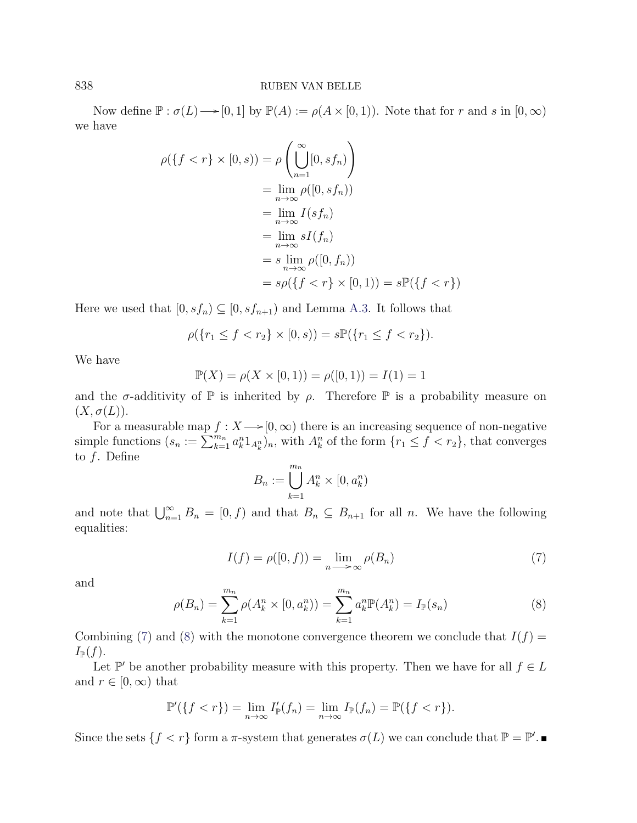Now define  $\mathbb{P}: \sigma(L) \longrightarrow [0, 1]$  by  $\mathbb{P}(A) := \rho(A \times [0, 1])$ . Note that for r and s in  $[0, \infty)$ we have

$$
\rho(\lbrace f < r \rbrace \times [0, s)) = \rho \left( \bigcup_{n=1}^{\infty} [0, s f_n) \right)
$$
  
\n
$$
= \lim_{n \to \infty} \rho([0, s f_n))
$$
  
\n
$$
= \lim_{n \to \infty} I(s f_n)
$$
  
\n
$$
= \lim_{n \to \infty} sI(f_n)
$$
  
\n
$$
= s \lim_{n \to \infty} \rho([0, f_n))
$$
  
\n
$$
= s\rho(\lbrace f < r \rbrace \times [0, 1)) = s\mathbb{P}(\lbrace f < r \rbrace)
$$

Here we used that  $[0, s f_n) \subseteq [0, s f_{n+1})$  and Lemma [A.3.](#page-25-1) It follows that

$$
\rho(\{r_1 \le f < r_2\} \times [0, s)) = s \mathbb{P}(\{r_1 \le f < r_2\}).
$$

We have

$$
\mathbb{P}(X) = \rho(X \times [0, 1)) = \rho([0, 1)) = I(1) = 1
$$

and the  $\sigma$ -additivity of  $\mathbb P$  is inherited by  $\rho$ . Therefore  $\mathbb P$  is a probability measure on  $(X, \sigma(L)).$ 

For a measurable map  $f: X \rightarrow [0, \infty)$  there is an increasing sequence of non-negative simple functions  $(s_n := \sum_{k=1}^{m_n} a_k^n 1_{A_k^n})_n$ , with  $A_k^n$  of the form  $\{r_1 \le f < r_2\}$ , that converges to  $f$ . Define

$$
B_n := \bigcup_{k=1}^{m_n} A_k^n \times [0, a_k^n)
$$

and note that  $\bigcup_{n=1}^{\infty} B_n = [0, f)$  and that  $B_n \subseteq B_{n+1}$  for all n. We have the following equalities:

<span id="page-27-0"></span>
$$
I(f) = \rho([0, f)) = \lim_{n \to \infty} \rho(B_n)
$$
\n(7)

and

<span id="page-27-1"></span>
$$
\rho(B_n) = \sum_{k=1}^{m_n} \rho(A_k^n \times [0, a_k^n)) = \sum_{k=1}^{m_n} a_k^n \mathbb{P}(A_k^n) = I_{\mathbb{P}}(s_n)
$$
\n(8)

Combining [\(7\)](#page-27-0) and [\(8\)](#page-27-1) with the monotone convergence theorem we conclude that  $I(f)$  =  $I_{\mathbb{P}}(f).$ 

Let  $\mathbb{P}'$  be another probability measure with this property. Then we have for all  $f \in L$ and  $r \in [0, \infty)$  that

$$
\mathbb{P}'(\lbrace f < r \rbrace) = \lim_{n \to \infty} I'_{\mathbb{P}}(f_n) = \lim_{n \to \infty} I_{\mathbb{P}}(f_n) = \mathbb{P}(\lbrace f < r \rbrace).
$$

Since the sets  $\{f < r\}$  form a  $\pi$ -system that generates  $\sigma(L)$  we can conclude that  $\mathbb{P} = \mathbb{P}'$ .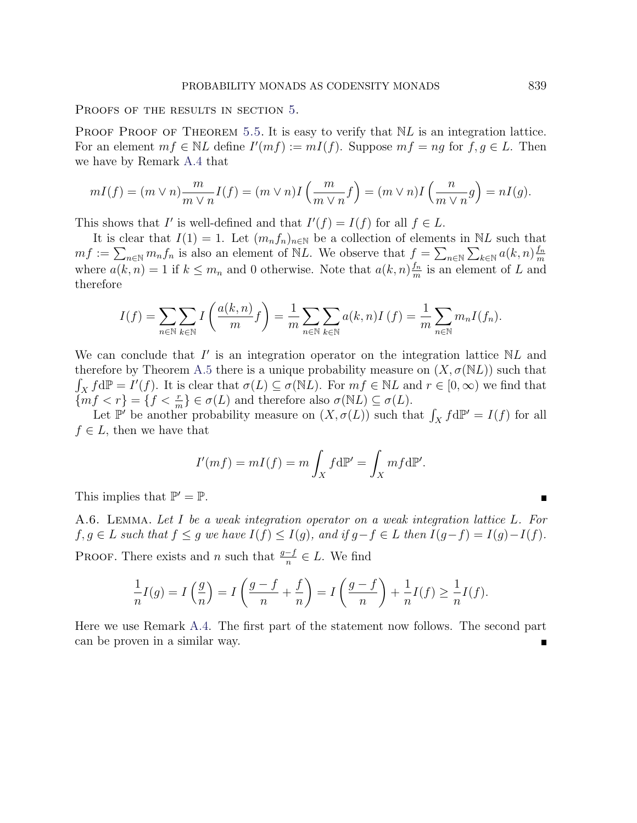PROOFS OF THE RESULTS IN SECTION [5.](#page-14-0)

PROOF PROOF OF THEOREM [5.5.](#page-15-3) It is easy to verify that  $NL$  is an integration lattice. For an element  $mf \in NL$  define  $I'(mf) := mI(f)$ . Suppose  $mf = ng$  for  $f, g \in L$ . Then we have by Remark [A.4](#page-25-3) that

$$
mI(f) = (m \lor n) \frac{m}{m \lor n} I(f) = (m \lor n)I\left(\frac{m}{m \lor n} f\right) = (m \lor n)I\left(\frac{n}{m \lor n} g\right) = nI(g).
$$

This shows that I' is well-defined and that  $I'(f) = I(f)$  for all  $f \in L$ .

It is clear that  $I(1) = 1$ . Let  $(m_n f_n)_{n \in \mathbb{N}}$  be a collection of elements in NL such that  $mf := \sum_{n\in\mathbb{N}} m_n f_n$  is also an element of NL. We observe that  $f = \sum_{n\in\mathbb{N}} \sum_{k\in\mathbb{N}} a(k,n) \frac{f_n}{m}$ m where  $a(k, n) = 1$  if  $k \leq m_n$  and 0 otherwise. Note that  $a(k, n) \frac{f_n}{m}$  $\frac{f_n}{m}$  is an element of L and therefore

$$
I(f) = \sum_{n \in \mathbb{N}} \sum_{k \in \mathbb{N}} I\left(\frac{a(k,n)}{m}f\right) = \frac{1}{m} \sum_{n \in \mathbb{N}} \sum_{k \in \mathbb{N}} a(k,n)I(f) = \frac{1}{m} \sum_{n \in \mathbb{N}} m_n I(f_n).
$$

We can conclude that  $I'$  is an integration operator on the integration lattice  $NL$  and therefore by Theorem [A.5](#page-26-0) there is a unique probability measure on  $(X, \sigma(NL))$  such that  $\int_X f d\mathbb{P} = I'(f)$ . It is clear that  $\sigma(L) \subseteq \sigma(NL)$ . For  $mf \in NL$  and  $r \in [0, \infty)$  we find that  $\{mf < r\} = \{f < \frac{r}{m}\} \in \sigma(L)$  and therefore also  $\sigma(NL) \subseteq \sigma(L)$ .

Let  $\mathbb{P}'$  be another probability measure on  $(X, \sigma(L))$  such that  $\int_X f d\mathbb{P}' = I(f)$  for all  $f \in L$ , then we have that

$$
I'(mf) = mI(f) = m \int_X f \, d\mathbb{P}' = \int_X m f \, d\mathbb{P}'.
$$

This implies that  $\mathbb{P}' = \mathbb{P}$ .

<span id="page-28-0"></span>A.6. Lemma. Let I be a weak integration operator on a weak integration lattice L. For  $f, g \in L$  such that  $f \le g$  we have  $I(f) \le I(g)$ , and if  $g - f \in L$  then  $I(g - f) = I(g) - I(f)$ . PROOF. There exists and n such that  $\frac{g-f}{n} \in L$ . We find

$$
\frac{1}{n}I(g) = I\left(\frac{g}{n}\right) = I\left(\frac{g-f}{n} + \frac{f}{n}\right) = I\left(\frac{g-f}{n}\right) + \frac{1}{n}I(f) \ge \frac{1}{n}I(f).
$$

Here we use Remark [A.4.](#page-25-3) The first part of the statement now follows. The second part can be proven in a similar way.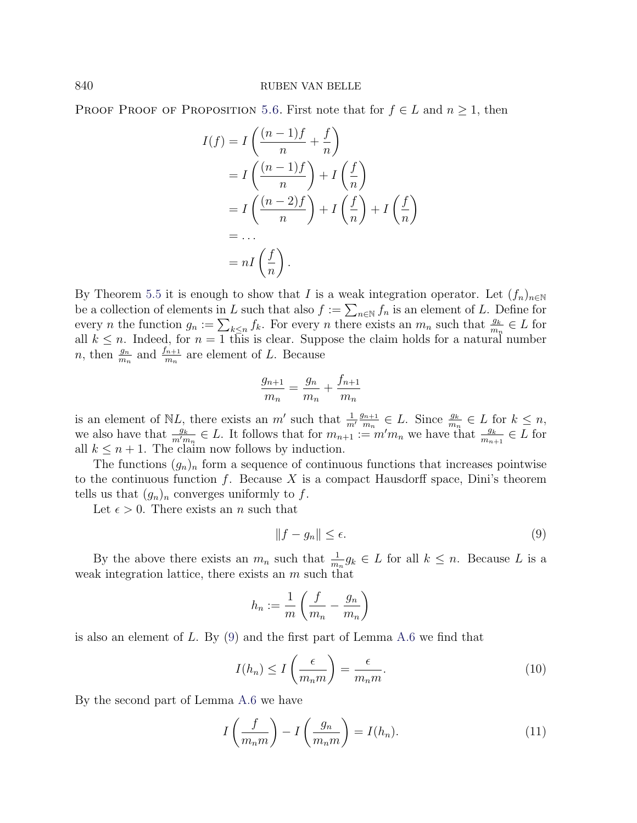PROOF PROOF OF PROPOSITION [5.6.](#page-15-2) First note that for  $f \in L$  and  $n \geq 1$ , then

$$
I(f) = I\left(\frac{(n-1)f}{n} + \frac{f}{n}\right)
$$
  
=  $I\left(\frac{(n-1)f}{n}\right) + I\left(\frac{f}{n}\right)$   
=  $I\left(\frac{(n-2)f}{n}\right) + I\left(\frac{f}{n}\right) + I\left(\frac{f}{n}\right)$   
= ...  
=  $nI\left(\frac{f}{n}\right)$ .

By Theorem [5.5](#page-15-3) it is enough to show that I is a weak integration operator. Let  $(f_n)_{n\in\mathbb{N}}$ be a collection of elements in L such that also  $f := \sum_{n \in \mathbb{N}} f_n$  is an element of L. Define for every *n* the function  $g_n := \sum_{k \leq n} f_k$ . For every *n* there exists an  $m_n$  such that  $\frac{g_k}{m_n} \in L$  for all  $k \leq n$ . Indeed, for  $n = 1$  this is clear. Suppose the claim holds for a natural number *n*, then  $\frac{g_n}{m_n}$  and  $\frac{f_{n+1}}{m_n}$  are element of L. Because

$$
\frac{g_{n+1}}{m_n} = \frac{g_n}{m_n} + \frac{f_{n+1}}{m_n}
$$

is an element of NL, there exists an  $m'$  such that  $\frac{1}{m'}$  $g_{n+1}$  $\frac{m+1}{m_n} \in L$ . Since  $\frac{g_k}{m_n} \in L$  for  $k \leq n$ , we also have that  $\frac{g_k}{m'm_n} \in L$ . It follows that for  $m_{n+1} := m'm_n$  we have that  $\frac{g_k}{m_{n+1}} \in L$  for all  $k \leq n+1$ . The claim now follows by induction.

The functions  $(g_n)_n$  form a sequence of continuous functions that increases pointwise to the continuous function  $f$ . Because  $X$  is a compact Hausdorff space, Dini's theorem tells us that  $(g_n)_n$  converges uniformly to f.

Let  $\epsilon > 0$ . There exists an *n* such that

<span id="page-29-0"></span>
$$
||f - g_n|| \le \epsilon. \tag{9}
$$

By the above there exists an  $m_n$  such that  $\frac{1}{m_n}g_k \in L$  for all  $k \leq n$ . Because L is a weak integration lattice, there exists an  $m$  such that

$$
h_n := \frac{1}{m} \left( \frac{f}{m_n} - \frac{g_n}{m_n} \right)
$$

is also an element of  $L$ . By  $(9)$  and the first part of Lemma [A.6](#page-28-0) we find that

<span id="page-29-1"></span>
$$
I(h_n) \le I\left(\frac{\epsilon}{m_n m}\right) = \frac{\epsilon}{m_n m}.
$$
\n(10)

By the second part of Lemma [A.6](#page-28-0) we have

<span id="page-29-2"></span>
$$
I\left(\frac{f}{m_n m}\right) - I\left(\frac{g_n}{m_n m}\right) = I(h_n). \tag{11}
$$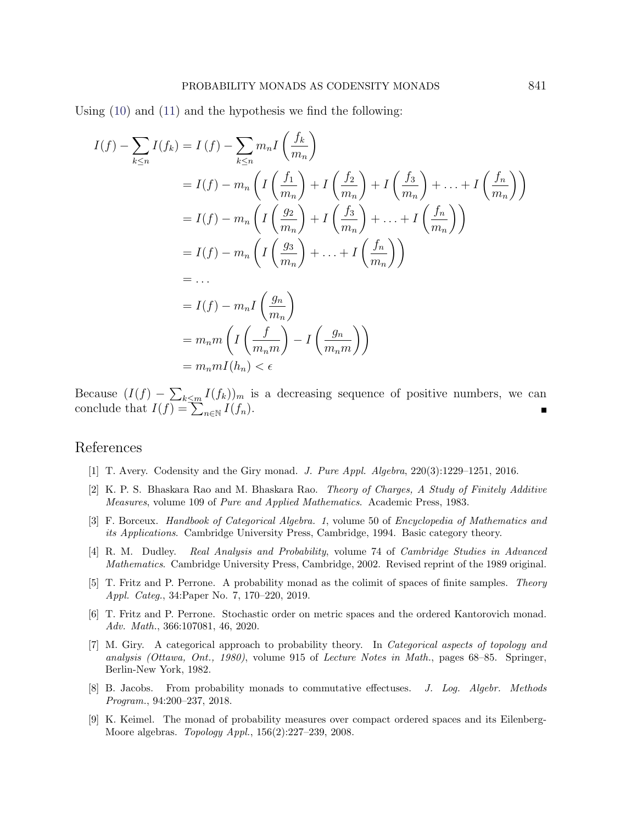Using [\(10\)](#page-29-1) and [\(11\)](#page-29-2) and the hypothesis we find the following:

$$
I(f) - \sum_{k \le n} I(f_k) = I(f) - \sum_{k \le n} m_n I\left(\frac{f_k}{m_n}\right)
$$
  
=  $I(f) - m_n \left(I\left(\frac{f_1}{m_n}\right) + I\left(\frac{f_2}{m_n}\right) + I\left(\frac{f_3}{m_n}\right) + \dots + I\left(\frac{f_n}{m_n}\right)\right)$   
=  $I(f) - m_n \left(I\left(\frac{g_2}{m_n}\right) + I\left(\frac{f_3}{m_n}\right) + \dots + I\left(\frac{f_n}{m_n}\right)\right)$   
=  $I(f) - m_n \left(I\left(\frac{g_3}{m_n}\right) + \dots + I\left(\frac{f_n}{m_n}\right)\right)$   
=  $\dots$   
=  $I(f) - m_n I\left(\frac{g_n}{m_n}\right)$   
=  $m_n m I\left(I\left(\frac{f}{m_n m}\right) - I\left(\frac{g_n}{m_n m}\right)\right)$   
=  $m_n m I(h_n) < \epsilon$ 

Because  $(I(f) - \sum_{k \le m} I(f_k))_m$  is a decreasing sequence of positive numbers, we can conclude that  $I(f) = \sum_{n \in \mathbb{N}} I(f_n)$ .

# <span id="page-30-0"></span>References

- <span id="page-30-3"></span>[1] T. Avery. Codensity and the Giry monad. J. Pure Appl. Algebra, 220(3):1229–1251, 2016.
- <span id="page-30-8"></span>[2] K. P. S. Bhaskara Rao and M. Bhaskara Rao. Theory of Charges, A Study of Finitely Additive Measures, volume 109 of Pure and Applied Mathematics. Academic Press, 1983.
- <span id="page-30-7"></span>[3] F. Borceux. Handbook of Categorical Algebra. 1, volume 50 of Encyclopedia of Mathematics and its Applications. Cambridge University Press, Cambridge, 1994. Basic category theory.
- <span id="page-30-9"></span>[4] R. M. Dudley. Real Analysis and Probability, volume 74 of Cambridge Studies in Advanced Mathematics. Cambridge University Press, Cambridge, 2002. Revised reprint of the 1989 original.
- <span id="page-30-5"></span>[5] T. Fritz and P. Perrone. A probability monad as the colimit of spaces of finite samples. Theory Appl. Categ., 34:Paper No. 7, 170–220, 2019.
- <span id="page-30-6"></span>[6] T. Fritz and P. Perrone. Stochastic order on metric spaces and the ordered Kantorovich monad. Adv. Math., 366:107081, 46, 2020.
- <span id="page-30-1"></span>[7] M. Giry. A categorical approach to probability theory. In Categorical aspects of topology and analysis (Ottawa, Ont., 1980), volume 915 of Lecture Notes in Math., pages 68–85. Springer, Berlin-New York, 1982.
- <span id="page-30-2"></span>[8] B. Jacobs. From probability monads to commutative effectuses. J. Log. Algebr. Methods Program., 94:200–237, 2018.
- <span id="page-30-4"></span>[9] K. Keimel. The monad of probability measures over compact ordered spaces and its Eilenberg-Moore algebras. Topology Appl., 156(2):227–239, 2008.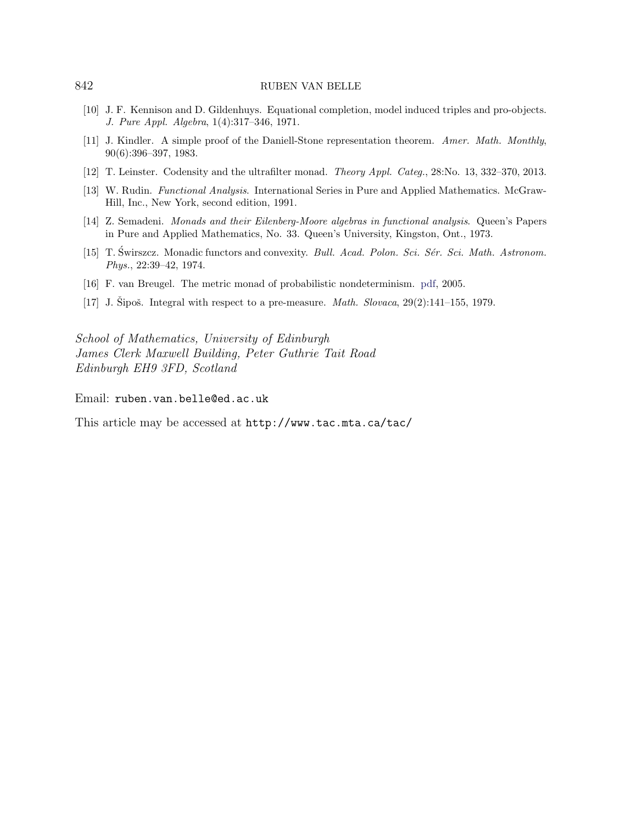- <span id="page-31-4"></span>[10] J. F. Kennison and D. Gildenhuys. Equational completion, model induced triples and pro-objects. J. Pure Appl. Algebra, 1(4):317–346, 1971.
- <span id="page-31-6"></span>[11] J. Kindler. A simple proof of the Daniell-Stone representation theorem. Amer. Math. Monthly, 90(6):396–397, 1983.
- <span id="page-31-0"></span>[12] T. Leinster. Codensity and the ultrafilter monad. Theory Appl. Categ., 28:No. 13, 332–370, 2013.
- <span id="page-31-7"></span>[13] W. Rudin. Functional Analysis. International Series in Pure and Applied Mathematics. McGraw-Hill, Inc., New York, second edition, 1991.
- <span id="page-31-1"></span>[14] Z. Semadeni. Monads and their Eilenberg-Moore algebras in functional analysis. Queen's Papers in Pure and Applied Mathematics, No. 33. Queen's University, Kingston, Ont., 1973.
- <span id="page-31-2"></span>[15] T. Swirszcz. Monadic functors and convexity. Bull. Acad. Polon. Sci. Sér. Sci. Math. Astronom. Phys., 22:39–42, 1974.
- <span id="page-31-3"></span>[16] F. van Breugel. The metric monad of probabilistic nondeterminism. [pdf,](http://www.cse.yorku.ca/~franck/research/drafts/monad.pdf) 2005.
- <span id="page-31-5"></span>[17] J. Sipoš. Integral with respect to a pre-measure. *Math. Slovaca*,  $29(2):141-155$ , 1979.

School of Mathematics, University of Edinburgh James Clerk Maxwell Building, Peter Guthrie Tait Road Edinburgh EH9 3FD, Scotland

Email: ruben.van.belle@ed.ac.uk

This article may be accessed at http://www.tac.mta.ca/tac/